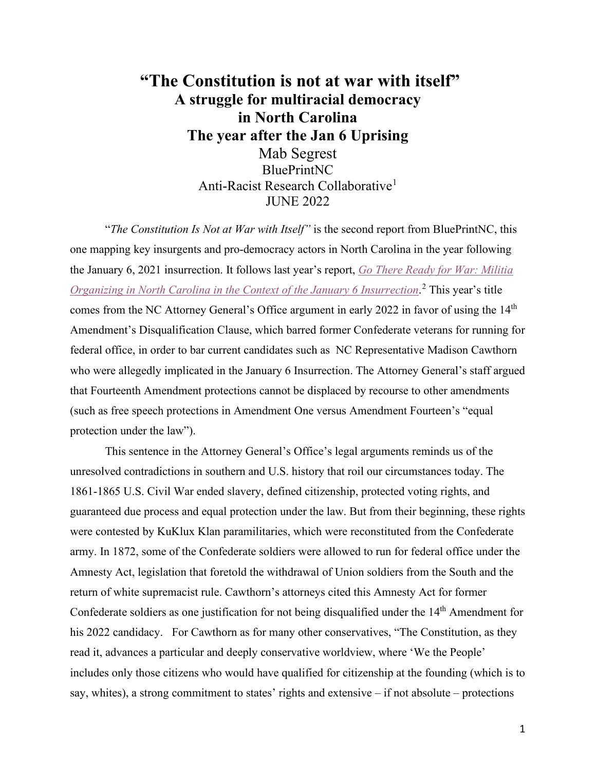# **"The Constitution is not at war with itself" A struggle for multiracial democracy in North Carolina The year after the Jan 6 Uprising** Mab Segrest BluePrintNC Anti-Racist Research Collaborative<sup>1</sup> JUNE 2022

 "*The Constitution Is Not at War with Itself"* is the second report from BluePrintNC, this one mapping key insurgents and pro-democracy actors in North Carolina in the year following the January 6, 2021 insurrection. It follows last year's report, *[Go There Ready for War: Militia](https://scalawagmagazine.org/2021/03/blueprint-nc-report/)  [Organizing in North Carolina in the Context of the January 6 Insurrection](https://scalawagmagazine.org/2021/03/blueprint-nc-report/)*. [2](#page-26-1) This year's title comes from the NC Attorney General's Office argument in early 2022 in favor of using the 14<sup>th</sup> Amendment's Disqualification Clause, which barred former Confederate veterans for running for federal office, in order to bar current candidates such as NC Representative Madison Cawthorn who were allegedly implicated in the January 6 Insurrection. The Attorney General's staff argued that Fourteenth Amendment protections cannot be displaced by recourse to other amendments (such as free speech protections in Amendment One versus Amendment Fourteen's "equal protection under the law").

This sentence in the Attorney General's Office's legal arguments reminds us of the unresolved contradictions in southern and U.S. history that roil our circumstances today. The 1861-1865 U.S. Civil War ended slavery, defined citizenship, protected voting rights, and guaranteed due process and equal protection under the law. But from their beginning, these rights were contested by KuKlux Klan paramilitaries, which were reconstituted from the Confederate army. In 1872, some of the Confederate soldiers were allowed to run for federal office under the Amnesty Act, legislation that foretold the withdrawal of Union soldiers from the South and the return of white supremacist rule. Cawthorn's attorneys cited this Amnesty Act for former Confederate soldiers as one justification for not being disqualified under the  $14<sup>th</sup>$  Amendment for his 2022 candidacy. For Cawthorn as for many other conservatives, "The Constitution, as they read it, advances a particular and deeply conservative worldview, where 'We the People' includes only those citizens who would have qualified for citizenship at the founding (which is to say, whites), a strong commitment to states' rights and extensive – if not absolute – protections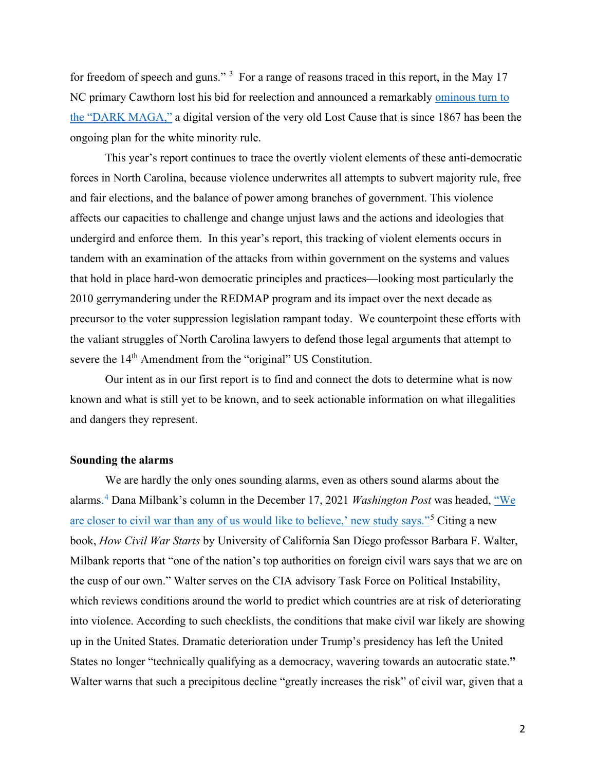for freedom of speech and guns." <sup>[3](#page-26-2)</sup> For a range of reasons traced in this report, in the May 17 NC primary Cawthorn lost his bid for reelection and announced a remarkably [ominous turn to](https://www.newsobserver.com/news/politics-government/article261615122.html)  [the "DARK MAGA,"](https://www.newsobserver.com/news/politics-government/article261615122.html) a digital version of the very old Lost Cause that is since 1867 has been the ongoing plan for the white minority rule.

This year's report continues to trace the overtly violent elements of these anti-democratic forces in North Carolina, because violence underwrites all attempts to subvert majority rule, free and fair elections, and the balance of power among branches of government. This violence affects our capacities to challenge and change unjust laws and the actions and ideologies that undergird and enforce them. In this year's report, this tracking of violent elements occurs in tandem with an examination of the attacks from within government on the systems and values that hold in place hard-won democratic principles and practices—looking most particularly the 2010 gerrymandering under the REDMAP program and its impact over the next decade as precursor to the voter suppression legislation rampant today. We counterpoint these efforts with the valiant struggles of North Carolina lawyers to defend those legal arguments that attempt to severe the 14<sup>th</sup> Amendment from the "original" US Constitution.

 Our intent as in our first report is to find and connect the dots to determine what is now known and what is still yet to be known, and to seek actionable information on what illegalities and dangers they represent.

### **Sounding the alarms**

 We are hardly the only ones sounding alarms, even as others sound alarms about the alarms.<sup>[4](#page-27-0)</sup> Dana Milbank's column in the December 17, 2021 *Washington Post* was headed, "We [are closer to civil war than any of us would like to believe,' new study says."](https://www.washingtonpost.com/opinions/2021/12/17/how-civil-wars-start-barbara-walter-research/)<sup>[5](#page-27-1)</sup> Citing a new book, *How Civil War Starts* by University of California San Diego professor Barbara F. Walter, Milbank reports that "one of the nation's top authorities on foreign civil wars says that we are on the cusp of our own." Walter serves on the CIA advisory Task Force on Political Instability, which reviews conditions around the world to predict which countries are at risk of deteriorating into violence. According to such checklists, the conditions that make civil war likely are showing up in the United States. Dramatic deterioration under Trump's presidency has left the United States no longer "technically qualifying as a democracy, wavering towards an autocratic state.**"** Walter warns that such a precipitous decline "greatly increases the risk" of civil war, given that a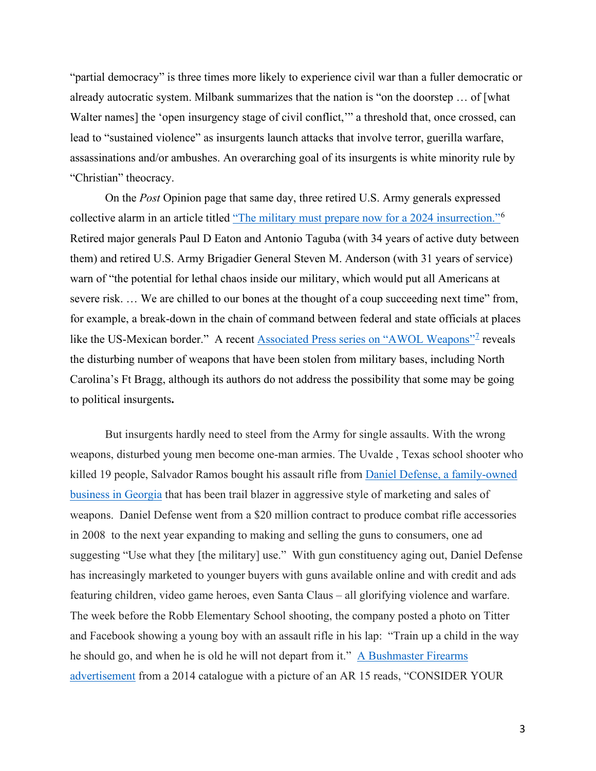"partial democracy" is three times more likely to experience civil war than a fuller democratic or already autocratic system. Milbank summarizes that the nation is "on the doorstep … of [what Walter names] the 'open insurgency stage of civil conflict," a threshold that, once crossed, can lead to "sustained violence" as insurgents launch attacks that involve terror, guerilla warfare, assassinations and/or ambushes. An overarching goal of its insurgents is white minority rule by "Christian" theocracy.

 On the *Post* Opinion page that same day, three retired U.S. Army generals expressed collective alarm in an article titled ["The military must prepare now for a 2024 insurrection."](https://www.washingtonpost.com/opinions/2021/12/17/eaton-taguba-anderson-generals-military/)<sup>[6](#page-27-2)</sup> Retired major generals Paul D Eaton and Antonio Taguba (with 34 years of active duty between them) and retired U.S. Army Brigadier General Steven M. Anderson (with 31 years of service) warn of "the potential for lethal chaos inside our military, which would put all Americans at severe risk. ... We are chilled to our bones at the thought of a coup succeeding next time" from, for example, a break-down in the chain of command between federal and state officials at places like the US-Mexican border." A recent [Associated Press series on "AWOL Weapons"](https://apnews.com/hub/awol-weapons)<sup>[7](#page-27-3)</sup> reveals the disturbing number of weapons that have been stolen from military bases, including North Carolina's Ft Bragg, although its authors do not address the possibility that some may be going to political insurgents**.** 

 But insurgents hardly need to steel from the Army for single assaults. With the wrong weapons, disturbed young men become one-man armies. The Uvalde , Texas school shooter who killed 19 people, Salvador Ramos bought his assault rifle from [Daniel Defense, a family-owned](https://www.nytimes.com/2022/05/28/business/daniel-defense-rifle-texas-shooting-gun.html)  [business in Georgia](https://www.nytimes.com/2022/05/28/business/daniel-defense-rifle-texas-shooting-gun.html) that has been trail blazer in aggressive style of marketing and sales of weapons. Daniel Defense went from a \$20 million contract to produce combat rifle accessories in 2008 to the next year expanding to making and selling the guns to consumers, one ad suggesting "Use what they [the military] use." With gun constituency aging out, Daniel Defense has increasingly marketed to younger buyers with guns available online and with credit and ads featuring children, video game heroes, even Santa Claus – all glorifying violence and warfare. The week before the Robb Elementary School shooting, the company posted a photo on Titter and Facebook showing a young boy with an assault rifle in his lap: "Train up a child in the way he should go, and when he is old he will not depart from it." A Bushmaster Firearms [advertisement](https://www.nydailynews.com/news/national/lawyer-gun-maker-not-blame-sandy-hook-ar-15-ads-article-1.3632565) from a 2014 catalogue with a picture of an AR 15 reads, "CONSIDER YOUR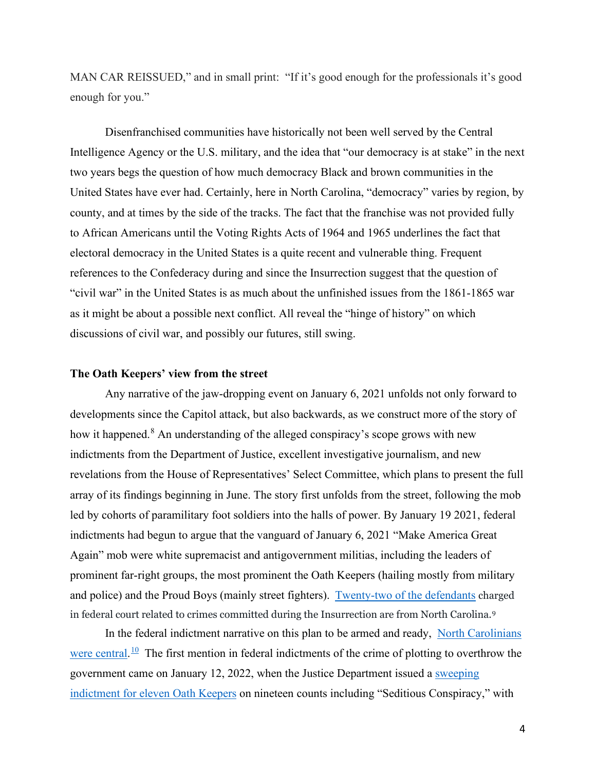MAN CAR REISSUED," and in small print: "If it's good enough for the professionals it's good enough for you."

Disenfranchised communities have historically not been well served by the Central Intelligence Agency or the U.S. military, and the idea that "our democracy is at stake" in the next two years begs the question of how much democracy Black and brown communities in the United States have ever had. Certainly, here in North Carolina, "democracy" varies by region, by county, and at times by the side of the tracks. The fact that the franchise was not provided fully to African Americans until the Voting Rights Acts of 1964 and 1965 underlines the fact that electoral democracy in the United States is a quite recent and vulnerable thing. Frequent references to the Confederacy during and since the Insurrection suggest that the question of "civil war" in the United States is as much about the unfinished issues from the 1861-1865 war as it might be about a possible next conflict. All reveal the "hinge of history" on which discussions of civil war, and possibly our futures, still swing.

#### **The Oath Keepers' view from the street**

 Any narrative of the jaw-dropping event on January 6, 2021 unfolds not only forward to developments since the Capitol attack, but also backwards, as we construct more of the story of how it happened.<sup>[8](#page-27-4)</sup> An understanding of the alleged conspiracy's scope grows with new indictments from the Department of Justice, excellent investigative journalism, and new revelations from the House of Representatives' Select Committee, which plans to present the full array of its findings beginning in June. The story first unfolds from the street, following the mob led by cohorts of paramilitary foot soldiers into the halls of power. By January 19 2021, federal indictments had begun to argue that the vanguard of January 6, 2021 "Make America Great Again" mob were white supremacist and antigovernment militias, including the leaders of prominent far-right groups, the most prominent the Oath Keepers (hailing mostly from military and police) and the Proud Boys (mainly street fighters). [Twenty-two of the defendants](https://www.justice.gov/usao-dc/capitol-breach-cases?combine=North+Carolina) charged in federal court related to crimes committed during the Insurrection are from North Carolina.[9](#page-27-5)

 In the federal indictment narrative on this plan to be armed and ready, [North Carolinians](https://www.washingtonpost.com/context/u-s-v-thomas-e-caldwell-defense-motion-for-release/907def64-5ae5-4355-8422-d617386bfd48/)  [were central.](https://www.washingtonpost.com/context/u-s-v-thomas-e-caldwell-defense-motion-for-release/907def64-5ae5-4355-8422-d617386bfd48/) <sup>10</sup> The first mention in federal indictments of the crime of plotting to overthrow the government came on January 12, 2022, when the Justice Department issued a [sweeping](https://www.justice.gov/opa/pr/leader-oath-keepers-and-10-other-individuals-indicted-federal-court-seditious-conspiracy-and)  [indictment for eleven Oath Keepers](https://www.justice.gov/opa/pr/leader-oath-keepers-and-10-other-individuals-indicted-federal-court-seditious-conspiracy-and) on nineteen counts including "Seditious Conspiracy," with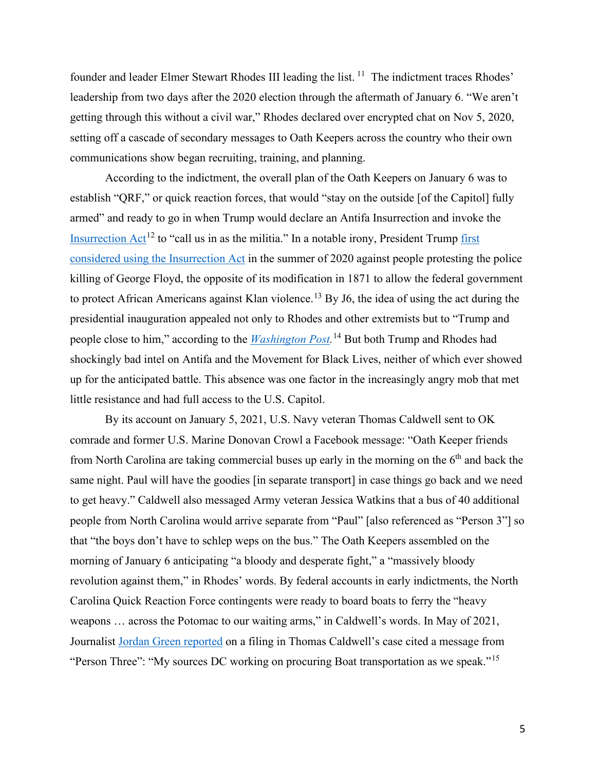founder and leader Elmer Stewart Rhodes III leading the list.<sup>[11](#page-28-1)</sup> The indictment traces Rhodes' leadership from two days after the 2020 election through the aftermath of January 6. "We aren't getting through this without a civil war," Rhodes declared over encrypted chat on Nov 5, 2020, setting off a cascade of secondary messages to Oath Keepers across the country who their own communications show began recruiting, training, and planning.

According to the indictment, the overall plan of the Oath Keepers on January 6 was to establish "QRF," or quick reaction forces, that would "stay on the outside [of the Capitol] fully armed" and ready to go in when Trump would declare an Antifa Insurrection and invoke the Insurrection  $Act^{12}$  $Act^{12}$  $Act^{12}$  to "call us in as the militia." In a notable irony, President Trump first [considered using the Insurrection Act](https://www.nytimes.com/2021/06/25/us/politics/trump-insurrection-act-protests.html) in the summer of 2020 against people protesting the police killing of George Floyd, the opposite of its modification in 1871 to allow the federal government to protect African Americans against Klan violence.<sup>13</sup> By J6, the idea of using the act during the presidential inauguration appealed not only to Rhodes and other extremists but to "Trump and people close to him," according to the *[Washington Post.](https://www.washingtonpost.com/national-security/stewart-rhodes-insurrection-act-trump/2022/01/23/fa009626-7c47-11ec-bf02-f9e24ccef149_story.html)* [14](#page-28-4) But both Trump and Rhodes had shockingly bad intel on Antifa and the Movement for Black Lives, neither of which ever showed up for the anticipated battle. This absence was one factor in the increasingly angry mob that met little resistance and had full access to the U.S. Capitol.

 By its account on January 5, 2021, U.S. Navy veteran Thomas Caldwell sent to OK comrade and former U.S. Marine Donovan Crowl a Facebook message: "Oath Keeper friends from North Carolina are taking commercial buses up early in the morning on the  $6<sup>th</sup>$  and back the same night. Paul will have the goodies [in separate transport] in case things go back and we need to get heavy." Caldwell also messaged Army veteran Jessica Watkins that a bus of 40 additional people from North Carolina would arrive separate from "Paul" [also referenced as "Person 3"] so that "the boys don't have to schlep weps on the bus." The Oath Keepers assembled on the morning of January 6 anticipating "a bloody and desperate fight," a "massively bloody revolution against them," in Rhodes' words. By federal accounts in early indictments, the North Carolina Quick Reaction Force contingents were ready to board boats to ferry the "heavy weapons … across the Potomac to our waiting arms," in Caldwell's words. In May of 2021, Journalist [Jordan Green reported](https://www.rawstory.com/quick-reaction-force/) on a filing in Thomas Caldwell's case cited a message from "Person Three": "My sources DC working on procuring Boat transportation as we speak."<sup>[15](#page-29-0)</sup>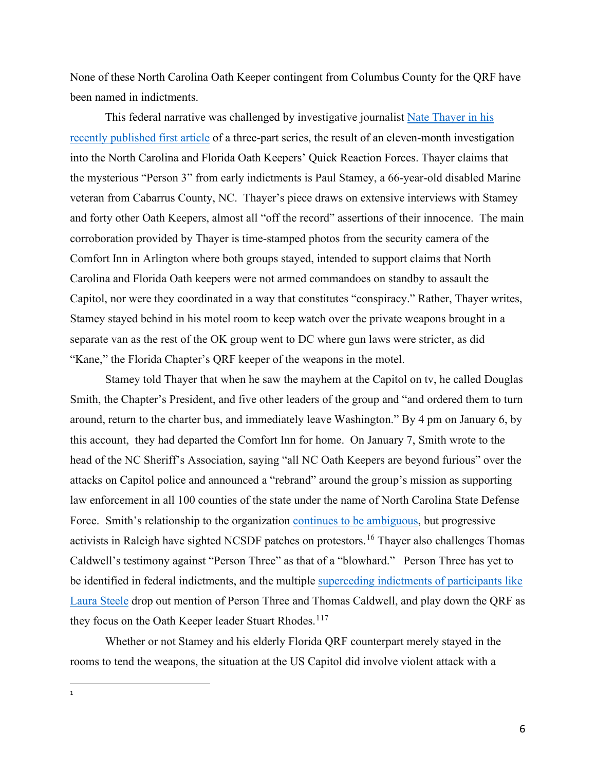None of these North Carolina Oath Keeper contingent from Columbus County for the QRF have been named in indictments.

This federal narrative was challenged by investigative journalist Nate Thayer in his [recently published first article](https://natethayer.substack.com/p/guns-bad-attitudes-and-cheap-whiskey?s=w) of a three-part series, the result of an eleven-month investigation into the North Carolina and Florida Oath Keepers' Quick Reaction Forces. Thayer claims that the mysterious "Person 3" from early indictments is Paul Stamey, a 66-year-old disabled Marine veteran from Cabarrus County, NC. Thayer's piece draws on extensive interviews with Stamey and forty other Oath Keepers, almost all "off the record" assertions of their innocence. The main corroboration provided by Thayer is time-stamped photos from the security camera of the Comfort Inn in Arlington where both groups stayed, intended to support claims that North Carolina and Florida Oath keepers were not armed commandoes on standby to assault the Capitol, nor were they coordinated in a way that constitutes "conspiracy." Rather, Thayer writes, Stamey stayed behind in his motel room to keep watch over the private weapons brought in a separate van as the rest of the OK group went to DC where gun laws were stricter, as did "Kane," the Florida Chapter's QRF keeper of the weapons in the motel.

 Stamey told Thayer that when he saw the mayhem at the Capitol on tv, he called Douglas Smith, the Chapter's President, and five other leaders of the group and "and ordered them to turn around, return to the charter bus, and immediately leave Washington." By 4 pm on January 6, by this account, they had departed the Comfort Inn for home. On January 7, Smith wrote to the head of the NC Sheriff's Association, saying "all NC Oath Keepers are beyond furious" over the attacks on Capitol police and announced a "rebrand" around the group's mission as supporting law enforcement in all 100 counties of the state under the name of North Carolina State Defense Force. Smith's relationship to the organization [continues to be ambiguous,](https://triad-city-beat.com/three-indicted-conspiracy-capitol-insurrection-oath-keepers/) but progressive activists in Raleigh have sighted NCSDF patches on protestors.<sup>[16](#page-29-1)</sup> Thayer also challenges Thomas Caldwell's testimony against "Person Three" as that of a "blowhard." Person Three has yet to be identified in federal indictments, and the multiple [superceding indictments of participants like](https://www.justice.gov/usao-dc/case-multi-defendant/file/1369071/download)  [Laura Steele](https://www.justice.gov/usao-dc/case-multi-defendant/file/1369071/download) drop out mention of Person Three and Thomas Caldwell, and play down the QRF as they focus on the Oath Keeper leader Stuart Rhodes.<sup>[1](#page-5-0)[17](#page-29-2)</sup>

 Whether or not Stamey and his elderly Florida QRF counterpart merely stayed in the rooms to tend the weapons, the situation at the US Capitol did involve violent attack with a

<span id="page-5-0"></span>1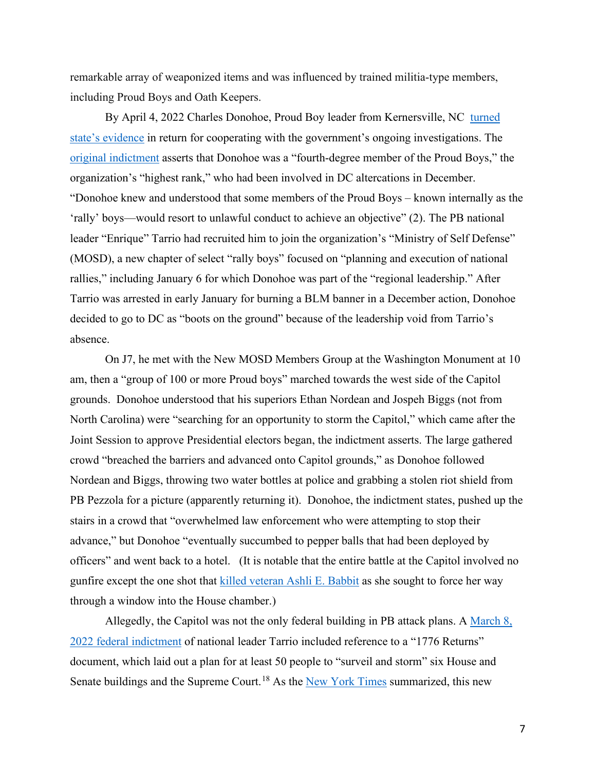remarkable array of weaponized items and was influenced by trained militia-type members, including Proud Boys and Oath Keepers.

By April 4, 2022 Charles Donohoe, Proud Boy leader from Kernersville, NC turned [state's evidence](https://www.justice.gov/opa/pr/leader-north-carolina-chapter-proud-boys-pleads-guilty-conspiracy-and-assault-charges-jan-6) in return for cooperating with the government's ongoing investigations. The [original indictment](https://www.justice.gov/usao-dc/case-multi-defendant/file/1492996/download) asserts that Donohoe was a "fourth-degree member of the Proud Boys," the organization's "highest rank," who had been involved in DC altercations in December. "Donohoe knew and understood that some members of the Proud Boys – known internally as the 'rally' boys—would resort to unlawful conduct to achieve an objective" (2). The PB national leader "Enrique" Tarrio had recruited him to join the organization's "Ministry of Self Defense" (MOSD), a new chapter of select "rally boys" focused on "planning and execution of national rallies," including January 6 for which Donohoe was part of the "regional leadership." After Tarrio was arrested in early January for burning a BLM banner in a December action, Donohoe decided to go to DC as "boots on the ground" because of the leadership void from Tarrio's absence.

 On J7, he met with the New MOSD Members Group at the Washington Monument at 10 am, then a "group of 100 or more Proud boys" marched towards the west side of the Capitol grounds. Donohoe understood that his superiors Ethan Nordean and Jospeh Biggs (not from North Carolina) were "searching for an opportunity to storm the Capitol," which came after the Joint Session to approve Presidential electors began, the indictment asserts. The large gathered crowd "breached the barriers and advanced onto Capitol grounds," as Donohoe followed Nordean and Biggs, throwing two water bottles at police and grabbing a stolen riot shield from PB Pezzola for a picture (apparently returning it). Donohoe, the indictment states, pushed up the stairs in a crowd that "overwhelmed law enforcement who were attempting to stop their advance," but Donohoe "eventually succumbed to pepper balls that had been deployed by officers" and went back to a hotel. (It is notable that the entire battle at the Capitol involved no gunfire except the one shot that [killed veteran Ashli E. Babbit](https://www.npr.org/sections/insurrection-at-the-capitol/2021/01/07/954446008/authorities-identify-woman-killed-by-police-during-u-s-capitol-rioting) as she sought to force her way through a window into the House chamber.)

Allegedly, the Capitol was not the only federal building in PB attack plans. A March  $8$ , [2022 federal indictment](https://www.justice.gov/opa/press-release/file/1480891/download) of national leader Tarrio included reference to a "1776 Returns" document, which laid out a plan for at least 50 people to "surveil and storm" six House and Senate buildings and the Supreme Court.<sup>[18](#page-29-3)</sup> As the [New York Times](https://www.nytimes.com/2022/03/14/us/politics/enrique-tarrio-jan-6-document.html) summarized, this new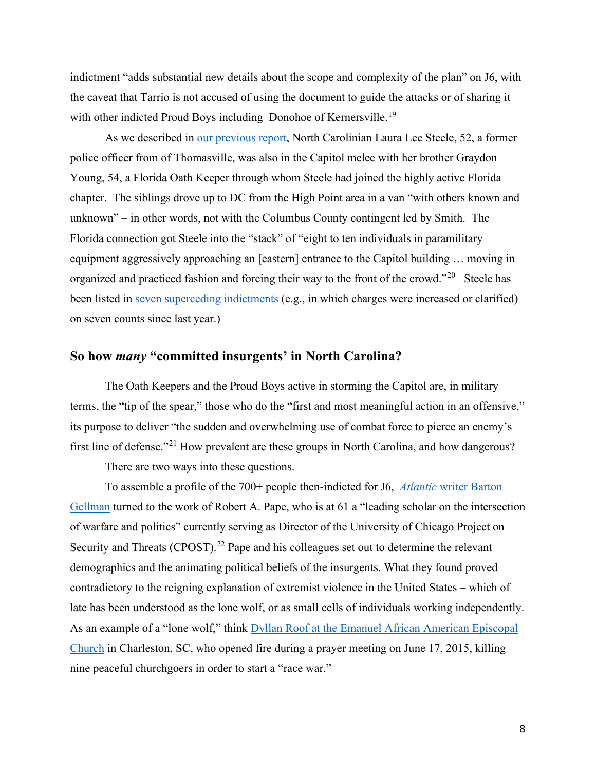indictment "adds substantial new details about the scope and complexity of the plan" on J6, with the caveat that Tarrio is not accused of using the document to guide the attacks or of sharing it with other indicted Proud Boys including Donohoe of Kernersville.<sup>[19](#page-29-4)</sup>

 As we described in [our previous report,](https://scalawagmagazine.org/2021/03/blueprint-nc-report/) North Carolinian Laura Lee Steele, 52, a former police officer from of Thomasville, was also in the Capitol melee with her brother Graydon Young, 54, a Florida Oath Keeper through whom Steele had joined the highly active Florida chapter. The siblings drove up to DC from the High Point area in a van "with others known and unknown" – in other words, not with the Columbus County contingent led by Smith. The Florida connection got Steele into the "stack" of "eight to ten individuals in paramilitary equipment aggressively approaching an [eastern] entrance to the Capitol building … moving in organized and practiced fashion and forcing their way to the front of the crowd."<sup>20</sup> Steele has been listed in [seven superceding indictments](https://www.justice.gov/usao-dc/case-multi-defendant/file/1471076/download) (e.g., in which charges were increased or clarified) on seven counts since last year.)

# **So how** *many* **"committed insurgents' in North Carolina?**

 The Oath Keepers and the Proud Boys active in storming the Capitol are, in military terms, the "tip of the spear," those who do the "first and most meaningful action in an offensive," its purpose to deliver "the sudden and overwhelming use of combat force to pierce an enemy's first line of defense."[21](#page-29-6) How prevalent are these groups in North Carolina, and how dangerous?

There are two ways into these questions.

 To assemble a profile of the 700+ people then-indicted for J6, *Atlantic* [writer Barton](https://www.theatlantic.com/magazine/archive/2022/01/january-6-insurrection-trump-coup-2024-election/620843/)  [Gellman](https://www.theatlantic.com/magazine/archive/2022/01/january-6-insurrection-trump-coup-2024-election/620843/) turned to the work of Robert A. Pape, who is at 61 a "leading scholar on the intersection of warfare and politics" currently serving as Director of the University of Chicago Project on Security and Threats (CPOST).<sup>[22](#page-29-7)</sup> Pape and his colleagues set out to determine the relevant demographics and the animating political beliefs of the insurgents. What they found proved contradictory to the reigning explanation of extremist violence in the United States – which of late has been understood as the lone wolf, or as small cells of individuals working independently. As an example of a "lone wolf," think [Dyllan Roof at the Emanuel African American Episcopal](https://www.npr.org/2020/06/17/878828088/5-years-after-charleston-church-massacre-what-have-we-learned)  [Church](https://www.npr.org/2020/06/17/878828088/5-years-after-charleston-church-massacre-what-have-we-learned) in Charleston, SC, who opened fire during a prayer meeting on June 17, 2015, killing nine peaceful churchgoers in order to start a "race war."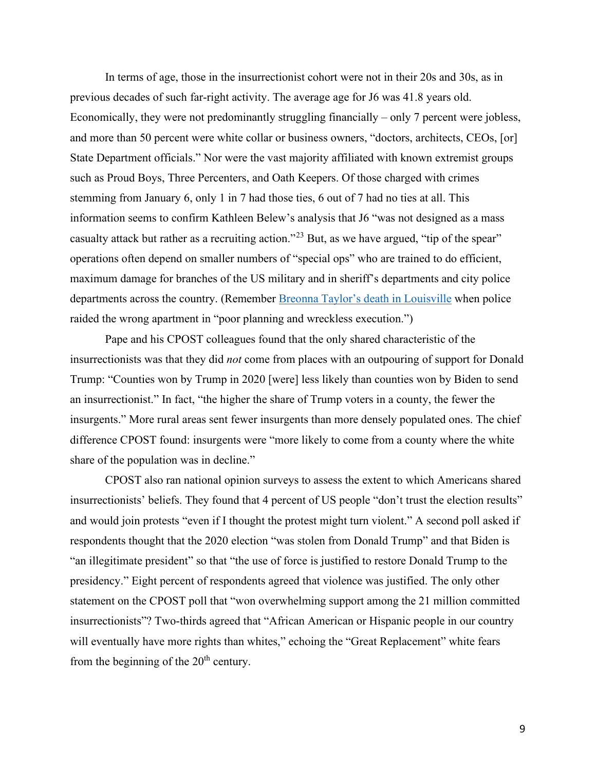In terms of age, those in the insurrectionist cohort were not in their 20s and 30s, as in previous decades of such far-right activity. The average age for J6 was 41.8 years old. Economically, they were not predominantly struggling financially – only 7 percent were jobless, and more than 50 percent were white collar or business owners, "doctors, architects, CEOs, [or] State Department officials." Nor were the vast majority affiliated with known extremist groups such as Proud Boys, Three Percenters, and Oath Keepers. Of those charged with crimes stemming from January 6, only 1 in 7 had those ties, 6 out of 7 had no ties at all. This information seems to confirm Kathleen Belew's analysis that J6 "was not designed as a mass casualty attack but rather as a recruiting action."<sup>[23](#page-29-8)</sup> But, as we have argued, "tip of the spear" operations often depend on smaller numbers of "special ops" who are trained to do efficient, maximum damage for branches of the US military and in sheriff's departments and city police departments across the country. (Remember [Breonna Taylor's death in Louisville](https://www.nytimes.com/article/breonna-taylor-police.html) when police raided the wrong apartment in "poor planning and wreckless execution.")

 Pape and his CPOST colleagues found that the only shared characteristic of the insurrectionists was that they did *not* come from places with an outpouring of support for Donald Trump: "Counties won by Trump in 2020 [were] less likely than counties won by Biden to send an insurrectionist." In fact, "the higher the share of Trump voters in a county, the fewer the insurgents." More rural areas sent fewer insurgents than more densely populated ones. The chief difference CPOST found: insurgents were "more likely to come from a county where the white share of the population was in decline."

 CPOST also ran national opinion surveys to assess the extent to which Americans shared insurrectionists' beliefs. They found that 4 percent of US people "don't trust the election results" and would join protests "even if I thought the protest might turn violent." A second poll asked if respondents thought that the 2020 election "was stolen from Donald Trump" and that Biden is "an illegitimate president" so that "the use of force is justified to restore Donald Trump to the presidency." Eight percent of respondents agreed that violence was justified. The only other statement on the CPOST poll that "won overwhelming support among the 21 million committed insurrectionists"? Two-thirds agreed that "African American or Hispanic people in our country will eventually have more rights than whites," echoing the "Great Replacement" white fears from the beginning of the  $20<sup>th</sup>$  century.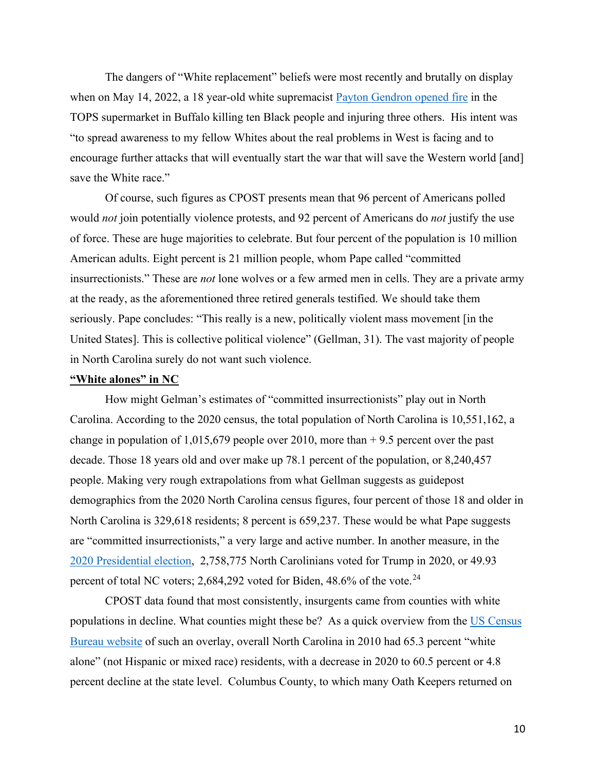The dangers of "White replacement" beliefs were most recently and brutally on display when on May 14, 2022, a 18 year-old white supremacist [Payton Gendron opened fire](https://www.washingtonpost.com/politics/2022/05/25/buffalo-race-war-invasion-violence/) in the TOPS supermarket in Buffalo killing ten Black people and injuring three others. His intent was "to spread awareness to my fellow Whites about the real problems in West is facing and to encourage further attacks that will eventually start the war that will save the Western world [and] save the White race."

 Of course, such figures as CPOST presents mean that 96 percent of Americans polled would *not* join potentially violence protests, and 92 percent of Americans do *not* justify the use of force. These are huge majorities to celebrate. But four percent of the population is 10 million American adults. Eight percent is 21 million people, whom Pape called "committed insurrectionists." These are *not* lone wolves or a few armed men in cells. They are a private army at the ready, as the aforementioned three retired generals testified. We should take them seriously. Pape concludes: "This really is a new, politically violent mass movement [in the United States]. This is collective political violence" (Gellman, 31). The vast majority of people in North Carolina surely do not want such violence.

#### **"White alones" in NC**

How might Gelman's estimates of "committed insurrectionists" play out in North Carolina. According to the 2020 census, the total population of North Carolina is 10,551,162, a change in population of 1,015,679 people over 2010, more than  $+$  9.5 percent over the past decade. Those 18 years old and over make up 78.1 percent of the population, or 8,240,457 people. Making very rough extrapolations from what Gellman suggests as guidepost demographics from the 2020 North Carolina census figures, four percent of those 18 and older in North Carolina is 329,618 residents; 8 percent is 659,237. These would be what Pape suggests are "committed insurrectionists," a very large and active number. In another measure, in the [2020 Presidential election,](https://ballotpedia.org/Presidential_election_in_North_Carolina,_2020) 2,758,775 North Carolinians voted for Trump in 2020, or 49.93 percent of total NC voters; 2,684,292 voted for Biden, 48.6% of the vote.<sup>[24](#page-29-9)</sup>

CPOST data found that most consistently, insurgents came from counties with white populations in decline. What counties might these be? As a quick overview from the [US Census](https://www.census.gov/quickfacts/fact/table/NC)  [Bureau website](https://www.census.gov/quickfacts/fact/table/NC) of such an overlay, overall North Carolina in 2010 had 65.3 percent "white alone" (not Hispanic or mixed race) residents, with a decrease in 2020 to 60.5 percent or 4.8 percent decline at the state level. Columbus County, to which many Oath Keepers returned on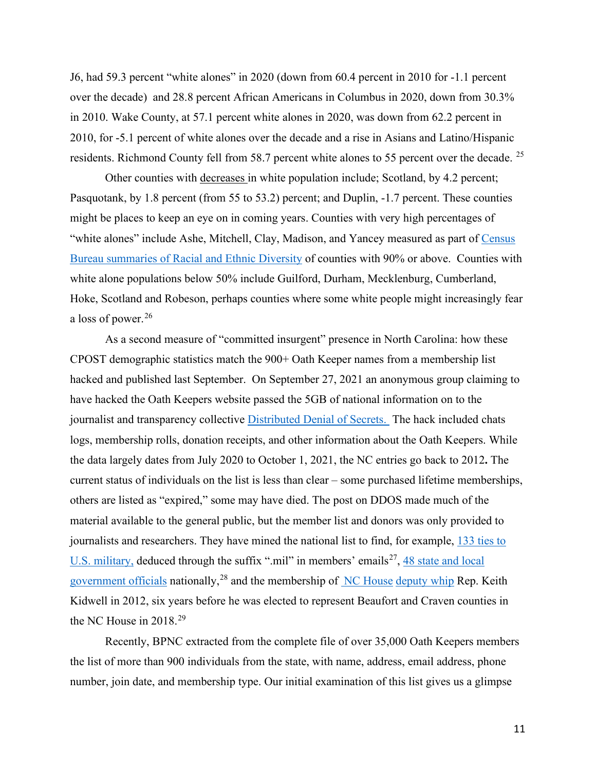J6, had 59.3 percent "white alones" in 2020 (down from 60.4 percent in 2010 for -1.1 percent over the decade) and 28.8 percent African Americans in Columbus in 2020, down from 30.3% in 2010. Wake County, at 57.1 percent white alones in 2020, was down from 62.2 percent in 2010, for -5.1 percent of white alones over the decade and a rise in Asians and Latino/Hispanic residents. Richmond County fell from 58.7 percent white alones to 55 percent over the decade. <sup>25</sup>

 Other counties with decreases in white population include; Scotland, by 4.2 percent; Pasquotank, by 1.8 percent (from 55 to 53.2) percent; and Duplin, -1.7 percent. These counties might be places to keep an eye on in coming years. Counties with very high percentages of "white alones" include Ashe, Mitchell, Clay, Madison, and Yancey measured as part of Census [Bureau summaries of Racial and Ethnic Diversity](https://www.census.gov/library/visualizations/interactive/racial-and-ethnic-diversity-in-the-united-states-2010-and-2020-census.html) of counties with 90% or above. Counties with white alone populations below 50% include Guilford, Durham, Mecklenburg, Cumberland, Hoke, Scotland and Robeson, perhaps counties where some white people might increasingly fear a loss of power.<sup>[26](#page-30-0)</sup>

As a second measure of "committed insurgent" presence in North Carolina: how these CPOST demographic statistics match the 900+ Oath Keeper names from a membership list hacked and published last September. On September 27, 2021 an anonymous group claiming to have hacked the Oath Keepers website passed the 5GB of national information on to the journalist and transparency collective [Distributed Denial of Secrets.](https://ddosecrets.com/wiki/Distributed_Denial_of_Secrets) The hack included chats logs, membership rolls, donation receipts, and other information about the Oath Keepers. While the data largely dates from July 2020 to October 1, 2021, the NC entries go back to 2012**.** The current status of individuals on the list is less than clear – some purchased lifetime memberships, others are listed as "expired," some may have died. The post on DDOS made much of the material available to the general public, but the member list and donors was only provided to journalists and researchers. They have mined the national list to find, for example, 133 ties to U.S. [military,](https://www.adl.org/blog/data-leak-appears-to-reveal-133-oath-keepers-with-ties-to-us-military) deduced through the suffix ".mil" in members' emails<sup>[27](#page-30-1)</sup>, 48 state and local [government officials](https://www.propublica.org/article/oath-keepers-in-the-state-house-how-a-militia-movement-took-root-in-the-republican-mainstream) nationally,<sup>[28](#page-30-2)</sup> and the membership of [NC House](https://www.rawstory.com/keith-kidwell-nc-house/) deputy whip Rep. Keith Kidwell in 2012, six years before he was elected to represent Beaufort and Craven counties in the NC House in 2018.<sup>[29](#page-30-3)</sup>

 Recently, BPNC extracted from the complete file of over 35,000 Oath Keepers members the list of more than 900 individuals from the state, with name, address, email address, phone number, join date, and membership type. Our initial examination of this list gives us a glimpse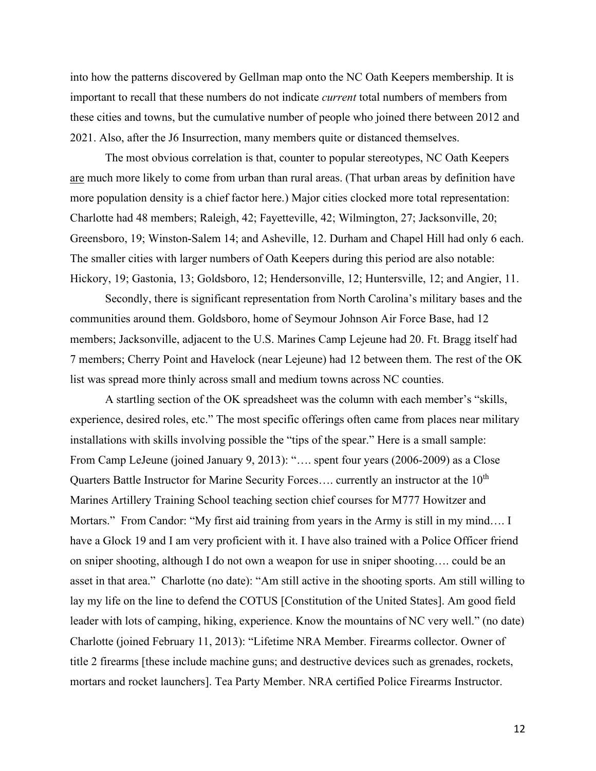into how the patterns discovered by Gellman map onto the NC Oath Keepers membership. It is important to recall that these numbers do not indicate *current* total numbers of members from these cities and towns, but the cumulative number of people who joined there between 2012 and 2021. Also, after the J6 Insurrection, many members quite or distanced themselves.

 The most obvious correlation is that, counter to popular stereotypes, NC Oath Keepers are much more likely to come from urban than rural areas. (That urban areas by definition have more population density is a chief factor here.) Major cities clocked more total representation: Charlotte had 48 members; Raleigh, 42; Fayetteville, 42; Wilmington, 27; Jacksonville, 20; Greensboro, 19; Winston-Salem 14; and Asheville, 12. Durham and Chapel Hill had only 6 each. The smaller cities with larger numbers of Oath Keepers during this period are also notable: Hickory, 19; Gastonia, 13; Goldsboro, 12; Hendersonville, 12; Huntersville, 12; and Angier, 11.

Secondly, there is significant representation from North Carolina's military bases and the communities around them. Goldsboro, home of Seymour Johnson Air Force Base, had 12 members; Jacksonville, adjacent to the U.S. Marines Camp Lejeune had 20. Ft. Bragg itself had 7 members; Cherry Point and Havelock (near Lejeune) had 12 between them. The rest of the OK list was spread more thinly across small and medium towns across NC counties.

A startling section of the OK spreadsheet was the column with each member's "skills, experience, desired roles, etc." The most specific offerings often came from places near military installations with skills involving possible the "tips of the spear." Here is a small sample: From Camp LeJeune (joined January 9, 2013): "…. spent four years (2006-2009) as a Close Quarters Battle Instructor for Marine Security Forces.... currently an instructor at the 10<sup>th</sup> Marines Artillery Training School teaching section chief courses for M777 Howitzer and Mortars." From Candor: "My first aid training from years in the Army is still in my mind.... I have a Glock 19 and I am very proficient with it. I have also trained with a Police Officer friend on sniper shooting, although I do not own a weapon for use in sniper shooting…. could be an asset in that area." Charlotte (no date): "Am still active in the shooting sports. Am still willing to lay my life on the line to defend the COTUS [Constitution of the United States]. Am good field leader with lots of camping, hiking, experience. Know the mountains of NC very well." (no date) Charlotte (joined February 11, 2013): "Lifetime NRA Member. Firearms collector. Owner of title 2 firearms [these include machine guns; and destructive devices such as grenades, rockets, mortars and rocket launchers]. Tea Party Member. NRA certified Police Firearms Instructor.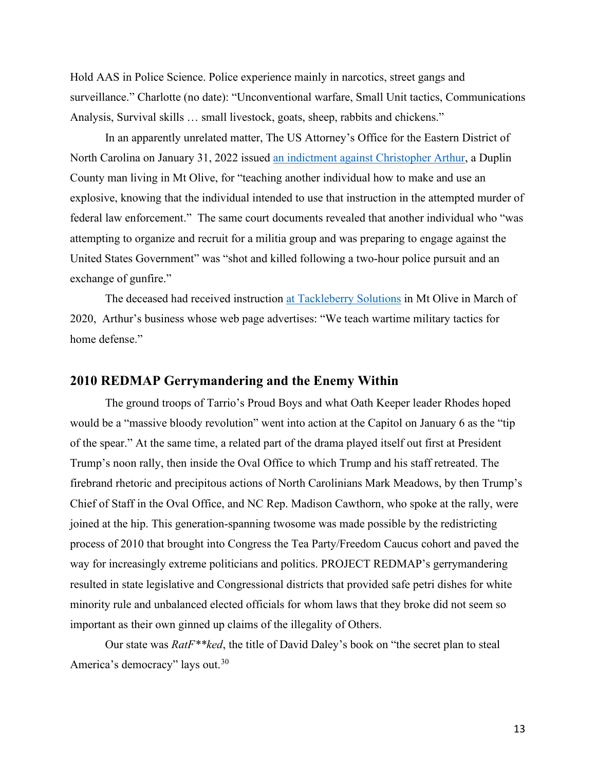Hold AAS in Police Science. Police experience mainly in narcotics, street gangs and surveillance." Charlotte (no date): "Unconventional warfare, Small Unit tactics, Communications Analysis, Survival skills … small livestock, goats, sheep, rabbits and chickens."

 In an apparently unrelated matter, The US Attorney's Office for the Eastern District of North Carolina on January 31, 2022 issued [an indictment against Christopher Arthur,](https://www.justice.gov/usao-ednc/pr/north-carolina-man-arrested-instructing-others-making-and-using-explosives) a Duplin County man living in Mt Olive, for "teaching another individual how to make and use an explosive, knowing that the individual intended to use that instruction in the attempted murder of federal law enforcement." The same court documents revealed that another individual who "was attempting to organize and recruit for a militia group and was preparing to engage against the United States Government" was "shot and killed following a two-hour police pursuit and an exchange of gunfire."

The deceased had received instruction [at Tackleberry Solutions](https://tackleberrysolutions.com/) in Mt Olive in March of 2020, Arthur's business whose web page advertises: "We teach wartime military tactics for home defense."

# **2010 REDMAP Gerrymandering and the Enemy Within**

 The ground troops of Tarrio's Proud Boys and what Oath Keeper leader Rhodes hoped would be a "massive bloody revolution" went into action at the Capitol on January 6 as the "tip of the spear." At the same time, a related part of the drama played itself out first at President Trump's noon rally, then inside the Oval Office to which Trump and his staff retreated. The firebrand rhetoric and precipitous actions of North Carolinians Mark Meadows, by then Trump's Chief of Staff in the Oval Office, and NC Rep. Madison Cawthorn, who spoke at the rally, were joined at the hip. This generation-spanning twosome was made possible by the redistricting process of 2010 that brought into Congress the Tea Party/Freedom Caucus cohort and paved the way for increasingly extreme politicians and politics. PROJECT REDMAP's gerrymandering resulted in state legislative and Congressional districts that provided safe petri dishes for white minority rule and unbalanced elected officials for whom laws that they broke did not seem so important as their own ginned up claims of the illegality of Others.

Our state was *RatF\*\*ked*, the title of David Daley's book on "the secret plan to steal America's democracy" lays out.<sup>[30](#page-30-4)</sup>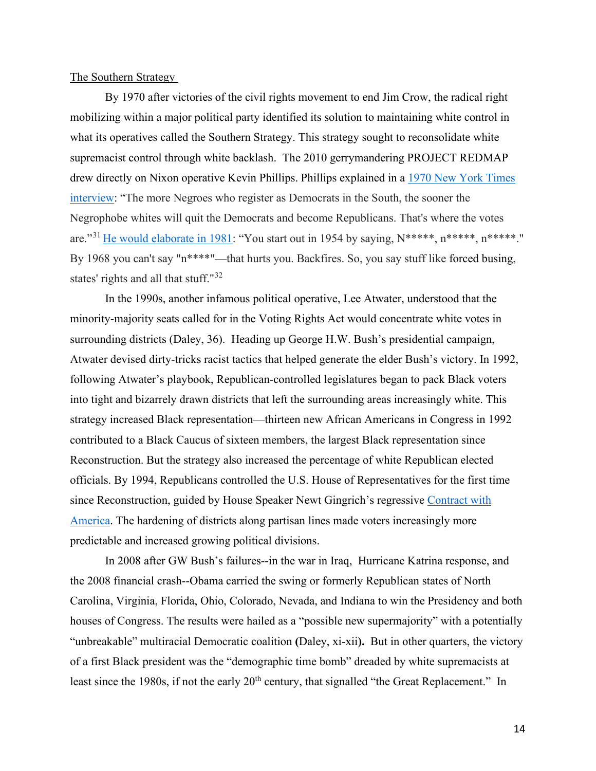The Southern Strategy

 By 1970 after victories of the civil rights movement to end Jim Crow, the radical right mobilizing within a major political party identified its solution to maintaining white control in what its operatives called the Southern Strategy. This strategy sought to reconsolidate white supremacist control through white backlash. The 2010 gerrymandering PROJECT REDMAP drew directly on Nixon operative Kevin Phillips. Phillips explained in a [1970 New York Times](https://www.nytimes.com/packages/html/books/phillips-southern.pdf) [interview:](https://www.nytimes.com/packages/html/books/phillips-southern.pdf) "The more Negroes who register as Democrats in the South, the sooner the Negrophobe whites will quit the Democrats and become Republicans. That's where the votes are."[31](#page-30-5) [He would elaborate in 1981:](https://www.youtube.com/watch?v=X_8E3ENrKrQ) "You start out in 1954 by saying, N\*\*\*\*\*, n\*\*\*\*\*, n\*\*\*\*\*." By 1968 you can't say "n\*\*\*\*"—that hurts you. Backfires. So, you say stuff like forced busing, states' rights and all that stuff."[32](#page-31-0) 

 In the 1990s, another infamous political operative, Lee Atwater, understood that the minority-majority seats called for in the Voting Rights Act would concentrate white votes in surrounding districts (Daley, 36). Heading up George H.W. Bush's presidential campaign, Atwater devised dirty-tricks racist tactics that helped generate the elder Bush's victory. In 1992, following Atwater's playbook, Republican-controlled legislatures began to pack Black voters into tight and bizarrely drawn districts that left the surrounding areas increasingly white. This strategy increased Black representation—thirteen new African Americans in Congress in 1992 contributed to a Black Caucus of sixteen members, the largest Black representation since Reconstruction. But the strategy also increased the percentage of white Republican elected officials. By 1994, Republicans controlled the U.S. House of Representatives for the first time since Reconstruction, guided by House Speaker Newt Gingrich's regressive [Contract with](https://www.britannica.com/event/Contract-with-America)  [America.](https://www.britannica.com/event/Contract-with-America) The hardening of districts along partisan lines made voters increasingly more predictable and increased growing political divisions.

 In 2008 after GW Bush's failures--in the war in Iraq, Hurricane Katrina response, and the 2008 financial crash--Obama carried the swing or formerly Republican states of North Carolina, Virginia, Florida, Ohio, Colorado, Nevada, and Indiana to win the Presidency and both houses of Congress. The results were hailed as a "possible new supermajority" with a potentially "unbreakable" multiracial Democratic coalition **(**Daley, xi-xii**).** But in other quarters, the victory of a first Black president was the "demographic time bomb" dreaded by white supremacists at least since the 1980s, if not the early 20<sup>th</sup> century, that signalled "the Great Replacement." In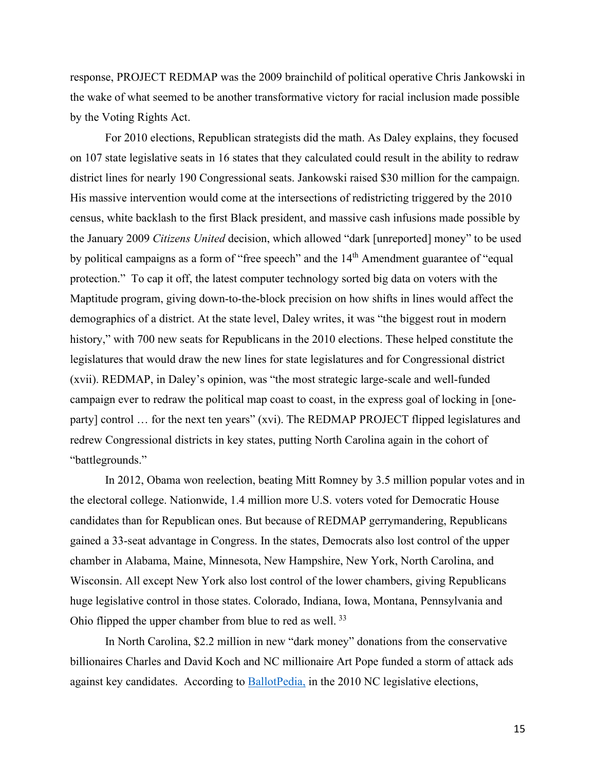response, PROJECT REDMAP was the 2009 brainchild of political operative Chris Jankowski in the wake of what seemed to be another transformative victory for racial inclusion made possible by the Voting Rights Act.

 For 2010 elections, Republican strategists did the math. As Daley explains, they focused on 107 state legislative seats in 16 states that they calculated could result in the ability to redraw district lines for nearly 190 Congressional seats. Jankowski raised \$30 million for the campaign. His massive intervention would come at the intersections of redistricting triggered by the 2010 census, white backlash to the first Black president, and massive cash infusions made possible by the January 2009 *Citizens United* decision, which allowed "dark [unreported] money" to be used by political campaigns as a form of "free speech" and the 14<sup>th</sup> Amendment guarantee of "equal protection." To cap it off, the latest computer technology sorted big data on voters with the Maptitude program, giving down-to-the-block precision on how shifts in lines would affect the demographics of a district. At the state level, Daley writes, it was "the biggest rout in modern history," with 700 new seats for Republicans in the 2010 elections. These helped constitute the legislatures that would draw the new lines for state legislatures and for Congressional district (xvii). REDMAP, in Daley's opinion, was "the most strategic large-scale and well-funded campaign ever to redraw the political map coast to coast, in the express goal of locking in [oneparty] control … for the next ten years" (xvi). The REDMAP PROJECT flipped legislatures and redrew Congressional districts in key states, putting North Carolina again in the cohort of "battlegrounds."

 In 2012, Obama won reelection, beating Mitt Romney by 3.5 million popular votes and in the electoral college. Nationwide, 1.4 million more U.S. voters voted for Democratic House candidates than for Republican ones. But because of REDMAP gerrymandering, Republicans gained a 33-seat advantage in Congress. In the states, Democrats also lost control of the upper chamber in Alabama, Maine, Minnesota, New Hampshire, New York, North Carolina, and Wisconsin. All except New York also lost control of the lower chambers, giving Republicans huge legislative control in those states. Colorado, Indiana, Iowa, Montana, Pennsylvania and Ohio flipped the upper chamber from blue to red as well.<sup>[33](#page-31-1)</sup>

 In North Carolina, \$2.2 million in new "dark money" donations from the conservative billionaires Charles and David Koch and NC millionaire Art Pope funded a storm of attack ads against key candidates. According to **BallotPedia**, in the 2010 NC legislative elections,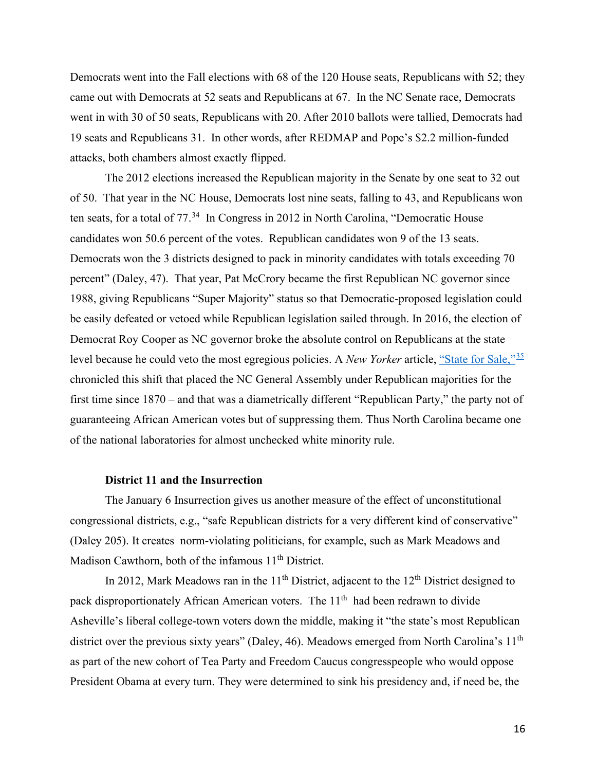Democrats went into the Fall elections with 68 of the 120 House seats, Republicans with 52; they came out with Democrats at 52 seats and Republicans at 67. In the NC Senate race, Democrats went in with 30 of 50 seats, Republicans with 20. After 2010 ballots were tallied, Democrats had 19 seats and Republicans 31. In other words, after REDMAP and Pope's \$2.2 million-funded attacks, both chambers almost exactly flipped.

 The 2012 elections increased the Republican majority in the Senate by one seat to 32 out of 50. That year in the NC House, Democrats lost nine seats, falling to 43, and Republicans won ten seats, for a total of  $77<sup>34</sup>$  $77<sup>34</sup>$  $77<sup>34</sup>$  In Congress in 2012 in North Carolina, "Democratic House candidates won 50.6 percent of the votes. Republican candidates won 9 of the 13 seats. Democrats won the 3 districts designed to pack in minority candidates with totals exceeding 70 percent" (Daley, 47). That year, Pat McCrory became the first Republican NC governor since 1988, giving Republicans "Super Majority" status so that Democratic-proposed legislation could be easily defeated or vetoed while Republican legislation sailed through. In 2016, the election of Democrat Roy Cooper as NC governor broke the absolute control on Republicans at the state level because he could veto the most egregious policies. A *New Yorker* article, ["State for Sale,"](https://www.newyorker.com/magazine/2011/10/10/state-for-sale)[35](#page-31-3) chronicled this shift that placed the NC General Assembly under Republican majorities for the first time since 1870 – and that was a diametrically different "Republican Party," the party not of guaranteeing African American votes but of suppressing them. Thus North Carolina became one of the national laboratories for almost unchecked white minority rule.

#### **District 11 and the Insurrection**

The January 6 Insurrection gives us another measure of the effect of unconstitutional congressional districts, e.g., "safe Republican districts for a very different kind of conservative" (Daley 205). It creates norm-violating politicians, for example, such as Mark Meadows and Madison Cawthorn, both of the infamous  $11<sup>th</sup>$  District.

In 2012, Mark Meadows ran in the  $11<sup>th</sup>$  District, adjacent to the  $12<sup>th</sup>$  District designed to pack disproportionately African American voters. The 11<sup>th</sup> had been redrawn to divide Asheville's liberal college-town voters down the middle, making it "the state's most Republican district over the previous sixty years" (Daley, 46). Meadows emerged from North Carolina's 11<sup>th</sup> as part of the new cohort of Tea Party and Freedom Caucus congresspeople who would oppose President Obama at every turn. They were determined to sink his presidency and, if need be, the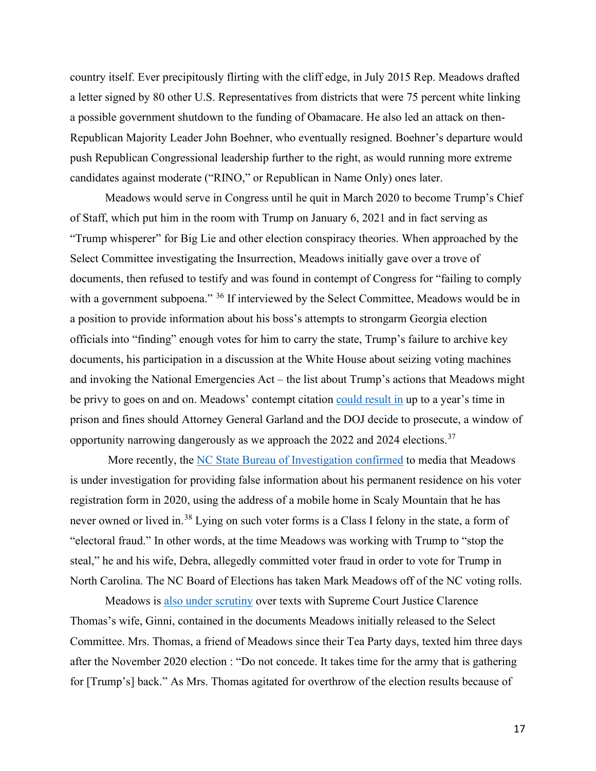country itself. Ever precipitously flirting with the cliff edge, in July 2015 Rep. Meadows drafted a letter signed by 80 other U.S. Representatives from districts that were 75 percent white linking a possible government shutdown to the funding of Obamacare. He also led an attack on then-Republican Majority Leader John Boehner, who eventually resigned. Boehner's departure would push Republican Congressional leadership further to the right, as would running more extreme candidates against moderate ("RINO," or Republican in Name Only) ones later.

 Meadows would serve in Congress until he quit in March 2020 to become Trump's Chief of Staff, which put him in the room with Trump on January 6, 2021 and in fact serving as "Trump whisperer" for Big Lie and other election conspiracy theories. When approached by the Select Committee investigating the Insurrection, Meadows initially gave over a trove of documents, then refused to testify and was found in contempt of Congress for "failing to comply with a government subpoena." <sup>[36](#page-31-4)</sup> If interviewed by the Select Committee, Meadows would be in a position to provide information about his boss's attempts to strongarm Georgia election officials into "finding" enough votes for him to carry the state, Trump's failure to archive key documents, his participation in a discussion at the White House about seizing voting machines and invoking the National Emergencies Act – the list about Trump's actions that Meadows might be privy to goes on and on. Meadows' contempt citation [could result in](https://www.npr.org/2021/12/14/1064068696/the-house-votes-to-hold-mark-meadows-in-contempt-sending-a-criminal-referral-to-) up to a year's time in prison and fines should Attorney General Garland and the DOJ decide to prosecute, a window of opportunity narrowing dangerously as we approach the 2022 and 2024 elections.[37](#page-31-5)

 More recently, the [NC State Bureau of Investigation confirmed](https://www.washingtonpost.com/politics/2022/03/17/mark-meadows-voter-registration-investigation/) to media that Meadows is under investigation for providing false information about his permanent residence on his voter registration form in 2020, using the address of a mobile home in Scaly Mountain that he has never owned or lived in.<sup>38</sup> Lying on such voter forms is a Class I felony in the state, a form of "electoral fraud." In other words, at the time Meadows was working with Trump to "stop the steal," he and his wife, Debra, allegedly committed voter fraud in order to vote for Trump in North Carolina. The NC Board of Elections has taken Mark Meadows off of the NC voting rolls.

Meadows is [also under scrutiny](https://www.nbcnews.com/politics/donald-trump/jan-6-panel-text-messages-ginni-thomas-mark-meadows-keeping-trump-offi-rcna21482) over texts with Supreme Court Justice Clarence Thomas's wife, Ginni, contained in the documents Meadows initially released to the Select Committee. Mrs. Thomas, a friend of Meadows since their Tea Party days, texted him three days after the November 2020 election : "Do not concede. It takes time for the army that is gathering for [Trump's] back." As Mrs. Thomas agitated for overthrow of the election results because of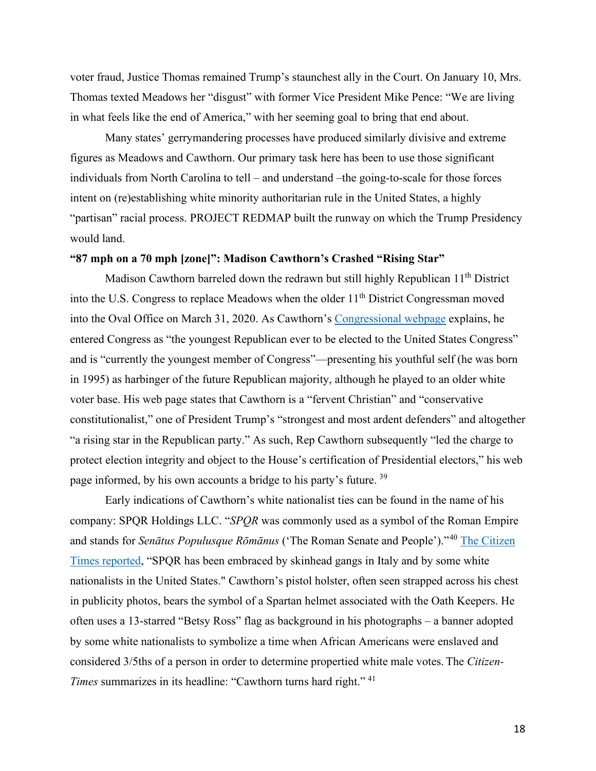voter fraud, Justice Thomas remained Trump's staunchest ally in the Court. On January 10, Mrs. Thomas texted Meadows her "disgust" with former Vice President Mike Pence: "We are living in what feels like the end of America," with her seeming goal to bring that end about.

 Many states' gerrymandering processes have produced similarly divisive and extreme figures as Meadows and Cawthorn. Our primary task here has been to use those significant individuals from North Carolina to tell – and understand –the going-to-scale for those forces intent on (re)establishing white minority authoritarian rule in the United States, a highly "partisan" racial process. PROJECT REDMAP built the runway on which the Trump Presidency would land.

#### **"87 mph on a 70 mph [zone]": Madison Cawthorn's Crashed "Rising Star"**

Madison Cawthorn barreled down the redrawn but still highly Republican 11<sup>th</sup> District into the U.S. Congress to replace Meadows when the older 11<sup>th</sup> District Congressman moved into the Oval Office on March 31, 2020. As Cawthorn's [Congressional webpage](https://cawthorn.house.gov/about) explains, he entered Congress as "the youngest Republican ever to be elected to the United States Congress" and is "currently the youngest member of Congress"—presenting his youthful self (he was born in 1995) as harbinger of the future Republican majority, although he played to an older white voter base. His web page states that Cawthorn is a "fervent Christian" and "conservative constitutionalist," one of President Trump's "strongest and most ardent defenders" and altogether "a rising star in the Republican party." As such, Rep Cawthorn subsequently "led the charge to protect election integrity and object to the House's certification of Presidential electors," his web page informed, by his own accounts a bridge to his party's future. [39](#page-31-7)

 Early indications of Cawthorn's white nationalist ties can be found in the name of his company: SPQR Holdings LLC. "*SPQR* was commonly used as a symbol of the Roman Empire and stands for *Senātus Populusque Rōmānus* ('The Roman Senate and People')."[40](#page-32-0) [The Citizen](https://www.citizen-times.com/story/news/local/2020/08/11/cawthorn-turns-hard-right-defends-use-symbols-tied-white-nationalism/3346238001/)  [Times reported,](https://www.citizen-times.com/story/news/local/2020/08/11/cawthorn-turns-hard-right-defends-use-symbols-tied-white-nationalism/3346238001/) "SPQR has been embraced by skinhead gangs in Italy and by some white nationalists in the United States." Cawthorn's pistol holster, often seen strapped across his chest in publicity photos, bears the symbol of a Spartan helmet associated with the Oath Keepers. He often uses a 13-starred "Betsy Ross" flag as background in his photographs – a banner adopted by some white nationalists to symbolize a time when African Americans were enslaved and considered 3/5ths of a person in order to determine propertied white male votes. The *Citizen-Times* summarizes in its headline: "Cawthorn turns hard right."<sup>[41](#page-32-1)</sup>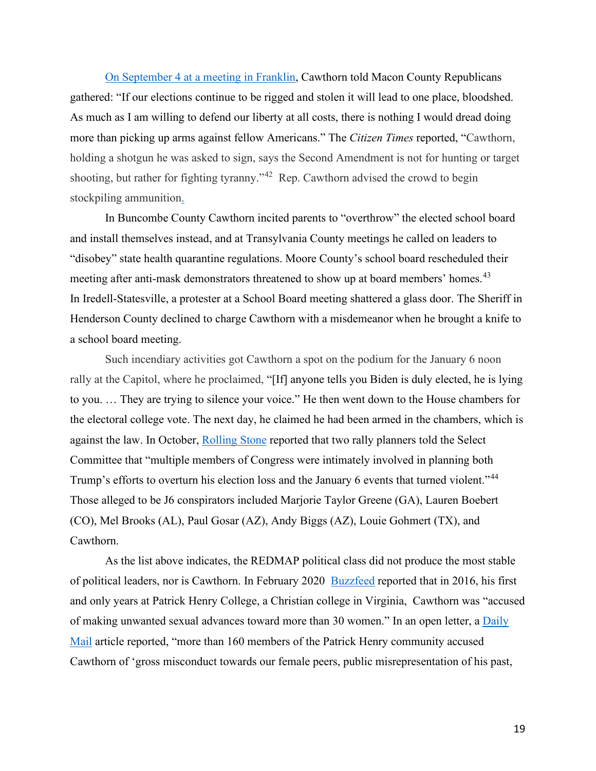[On September 4 at a meeting in Franklin,](https://www.citizen-times.com/story/news/local/2021/09/04/madison-cawthorn-franklin-bloodshed-many-provocative-comments-biden-fauci-election/5715083001/) Cawthorn told Macon County Republicans gathered: "If our elections continue to be rigged and stolen it will lead to one place, bloodshed. As much as I am willing to defend our liberty at all costs, there is nothing I would dread doing more than picking up arms against fellow Americans." The *Citizen Times* reported, "Cawthorn, holding a shotgun he was asked to sign, says the Second Amendment is not for hunting or target shooting, but rather for fighting tyranny."<sup>[42](#page-32-2)</sup> Rep. Cawthorn advised the crowd to begin stockpiling ammunition.

 In Buncombe County Cawthorn incited parents to "overthrow" the elected school board and install themselves instead, and at Transylvania County meetings he called on leaders to "disobey" state health quarantine regulations. Moore County's school board rescheduled their meeting after anti-mask demonstrators threatened to show up at board members' homes.[43](#page-32-3)  In Iredell-Statesville, a protester at a School Board meeting shattered a glass door. The Sheriff in Henderson County declined to charge Cawthorn with a misdemeanor when he brought a knife to a school board meeting.

 Such incendiary activities got Cawthorn a spot on the podium for the January 6 noon rally at the Capitol, where he proclaimed, "[If] anyone tells you Biden is duly elected, he is lying to you. … They are trying to silence your voice." He then went down to the House chambers for the electoral college vote. The next day, he claimed he had been armed in the chambers, which is against the law. In October, [Rolling Stone](https://www.rollingstone.com/politics/politics-news/exclusive-jan-6-organizers-met-congress-white-house-1245289/) reported that two rally planners told the Select Committee that "multiple members of Congress were intimately involved in planning both Trump's efforts to overturn his election loss and the January 6 events that turned violent."<sup>[44](#page-32-4)</sup> Those alleged to be J6 conspirators included Marjorie Taylor Greene (GA), Lauren Boebert (CO), Mel Brooks (AL), Paul Gosar (AZ), Andy Biggs (AZ), Louie Gohmert (TX), and Cawthorn.

 As the list above indicates, the REDMAP political class did not produce the most stable of political leaders, nor is Cawthorn. In February 2020 [Buzzfeed](https://www.buzzfeednews.com/article/addybaird/madison-cawthorn-sexual-misconduct-allegations-patrick) reported that in 2016, his first and only years at Patrick Henry College, a Christian college in Virginia, Cawthorn was "accused of making unwanted sexual advances toward more than 30 women." In an open letter, a Daily [Mail](https://www.dailymail.co.uk/news/article-10340037/Madison-Cawthorns-wife-Cristina-28-admits-difficulties-marriage.html) article reported, "more than 160 members of the Patrick Henry community accused Cawthorn of 'gross misconduct towards our female peers, public misrepresentation of his past,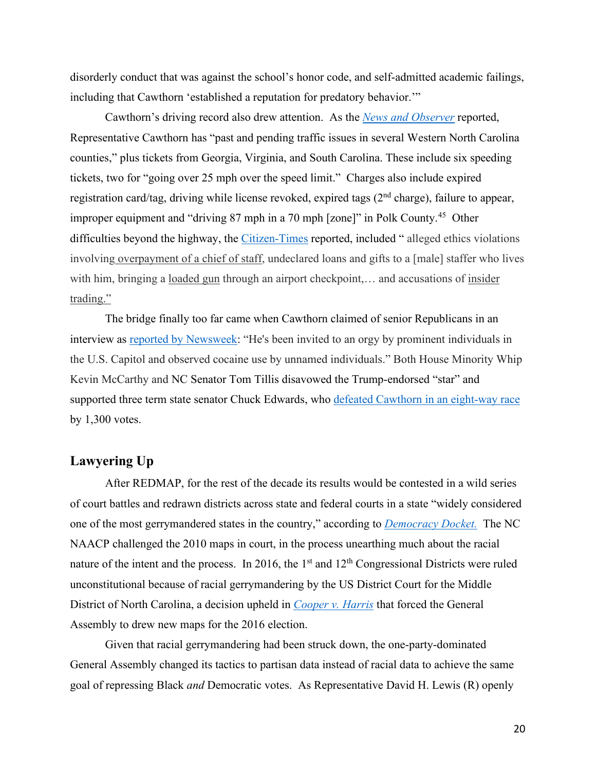disorderly conduct that was against the school's honor code, and self-admitted academic failings, including that Cawthorn 'established a reputation for predatory behavior.'"

 Cawthorn's driving record also drew attention. As the *[News and Observer](https://www.newsobserver.com/news/politics-government/state-politics/article260599597.html)* reported, Representative Cawthorn has "past and pending traffic issues in several Western North Carolina counties," plus tickets from Georgia, Virginia, and South Carolina. These include six speeding tickets, two for "going over 25 mph over the speed limit." Charges also include expired registration card/tag, driving while license revoked, expired tags  $(2<sup>nd</sup> charge)$ , failure to appear, improper equipment and "driving 87 mph in a 70 mph [zone]" in Polk County.<sup>45</sup> Other difficulties beyond the highway, the [Citizen-Times](https://www.citizen-times.com/story/news/2022/05/05/madison-cawthorn-leaked-nude-video-republicans-trump-trending-twitter/9664094002/) reported, included " alleged ethics violations involvin[g overpayment of a chief of staff,](https://www.thedailybeast.com/madison-cawthorn-may-have-a-new-ethics-violation-to-handle) undeclared loans and gifts to a [male] staffer who lives with him, bringing a [loaded gun](https://www.citizen-times.com/story/news/2022/04/26/rep-madison-cawthorn-faces-misdemeanor-loaded-gun-charlotte-airport/9545578002/) through an airport checkpoint,... and accusations of insider [trading.](https://www.citizen-times.com/story/news/2022/04/27/sen-tillis-calls-madison-cawthorn-insider-trading-investigation/9553671002/)"

 The bridge finally too far came when Cawthorn claimed of senior Republicans in an interview as [reported by Newsweek:](https://www.newsweek.com/thom-tillis-richard-burr-want-cawthorn-out-office-1693758) "He's been invited to an orgy by prominent individuals in the U.S. Capitol and observed cocaine use by unnamed individuals." Both House Minority Whip Kevin McCarthy and NC Senator Tom Tillis disavowed the Trump-endorsed "star" and supported three term state senator Chuck Edwards, who [defeated Cawthorn in an eight-way race](https://www.wral.com/republican-edwards-leading-cawthorn-in-closely-watched-western-nc-congressional-race/20283735/) by 1,300 votes.

# **Lawyering Up**

After REDMAP, for the rest of the decade its results would be contested in a wild series of court battles and redrawn districts across state and federal courts in a state "widely considered one of the most gerrymandered states in the country," according to *[Democracy Docket.](https://www.democracydocket.com/news/gerrymandering-deep-dive-north-carolina/)* The NC NAACP challenged the 2010 maps in court, in the process unearthing much about the racial nature of the intent and the process. In 2016, the  $1<sup>st</sup>$  and  $12<sup>th</sup>$  Congressional Districts were ruled unconstitutional because of racial gerrymandering by the US District Court for the Middle District of North Carolina, a decision upheld in *[Cooper v. Harris](https://www.supremecourt.gov/opinions/16pdf/15-1262_db8e.pdf)* that forced the General Assembly to drew new maps for the 2016 election.

 Given that racial gerrymandering had been struck down, the one-party-dominated General Assembly changed its tactics to partisan data instead of racial data to achieve the same goal of repressing Black *and* Democratic votes. As Representative David H. Lewis (R) openly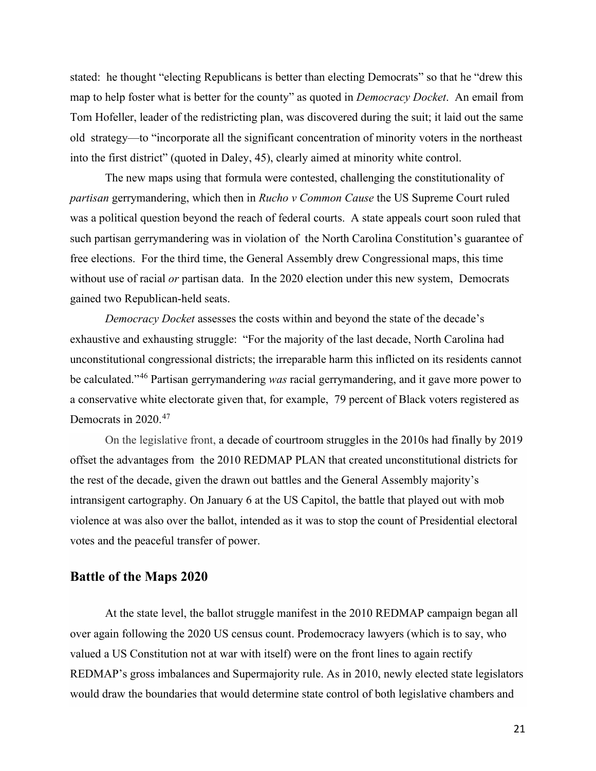stated: he thought "electing Republicans is better than electing Democrats" so that he "drew this map to help foster what is better for the county" as quoted in *Democracy Docket*. An email from Tom Hofeller, leader of the redistricting plan, was discovered during the suit; it laid out the same old strategy—to "incorporate all the significant concentration of minority voters in the northeast into the first district" (quoted in Daley, 45), clearly aimed at minority white control.

The new maps using that formula were contested, challenging the constitutionality of *partisan* gerrymandering, which then in *Rucho v Common Cause* the US Supreme Court ruled was a political question beyond the reach of federal courts. A state appeals court soon ruled that such partisan gerrymandering was in violation of the North Carolina Constitution's guarantee of free elections. For the third time, the General Assembly drew Congressional maps, this time without use of racial *or* partisan data. In the 2020 election under this new system, Democrats gained two Republican-held seats.

*Democracy Docket* assesses the costs within and beyond the state of the decade's exhaustive and exhausting struggle: "For the majority of the last decade, North Carolina had unconstitutional congressional districts; the irreparable harm this inflicted on its residents cannot be calculated."[46](#page-33-0) Partisan gerrymandering *was* racial gerrymandering, and it gave more power to a conservative white electorate given that, for example, 79 percent of Black voters registered as Democrats in 2020.<sup>47</sup>

 On the legislative front, a decade of courtroom struggles in the 2010s had finally by 2019 offset the advantages from the 2010 REDMAP PLAN that created unconstitutional districts for the rest of the decade, given the drawn out battles and the General Assembly majority's intransigent cartography. On January 6 at the US Capitol, the battle that played out with mob violence at was also over the ballot, intended as it was to stop the count of Presidential electoral votes and the peaceful transfer of power.

## **Battle of the Maps 2020**

At the state level, the ballot struggle manifest in the 2010 REDMAP campaign began all over again following the 2020 US census count. Prodemocracy lawyers (which is to say, who valued a US Constitution not at war with itself) were on the front lines to again rectify REDMAP's gross imbalances and Supermajority rule. As in 2010, newly elected state legislators would draw the boundaries that would determine state control of both legislative chambers and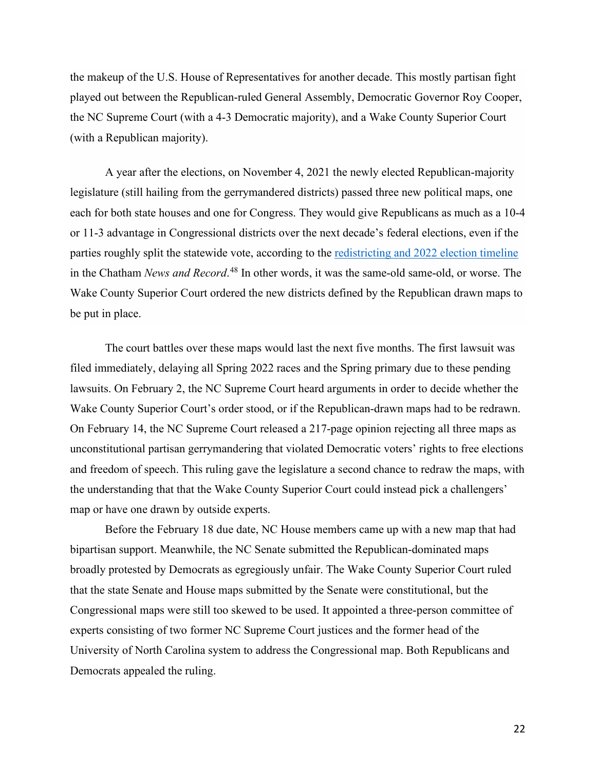the makeup of the U.S. House of Representatives for another decade. This mostly partisan fight played out between the Republican-ruled General Assembly, Democratic Governor Roy Cooper, the NC Supreme Court (with a 4-3 Democratic majority), and a Wake County Superior Court (with a Republican majority).

 A year after the elections, on November 4, 2021 the newly elected Republican-majority legislature (still hailing from the gerrymandered districts) passed three new political maps, one each for both state houses and one for Congress. They would give Republicans as much as a 10-4 or 11-3 advantage in Congressional districts over the next decade's federal elections, even if the parties roughly split the statewide vote, according to the [redistricting and 2022 election timeline](https://www.chathamnewsrecord.com/stories/a-redistricting-and-2022-election-timeline,12165) in the Chatham *News and Record*. [48](#page-33-2) In other words, it was the same-old same-old, or worse. The Wake County Superior Court ordered the new districts defined by the Republican drawn maps to be put in place.

 The court battles over these maps would last the next five months. The first lawsuit was filed immediately, delaying all Spring 2022 races and the Spring primary due to these pending lawsuits. On February 2, the NC Supreme Court heard arguments in order to decide whether the Wake County Superior Court's order stood, or if the Republican-drawn maps had to be redrawn. On February 14, the NC Supreme Court released a 217-page opinion rejecting all three maps as unconstitutional partisan gerrymandering that violated Democratic voters' rights to free elections and freedom of speech. This ruling gave the legislature a second chance to redraw the maps, with the understanding that that the Wake County Superior Court could instead pick a challengers' map or have one drawn by outside experts.

 Before the February 18 due date, NC House members came up with a new map that had bipartisan support. Meanwhile, the NC Senate submitted the Republican-dominated maps broadly protested by Democrats as egregiously unfair. The Wake County Superior Court ruled that the state Senate and House maps submitted by the Senate were constitutional, but the Congressional maps were still too skewed to be used. It appointed a three-person committee of experts consisting of two former NC Supreme Court justices and the former head of the University of North Carolina system to address the Congressional map. Both Republicans and Democrats appealed the ruling.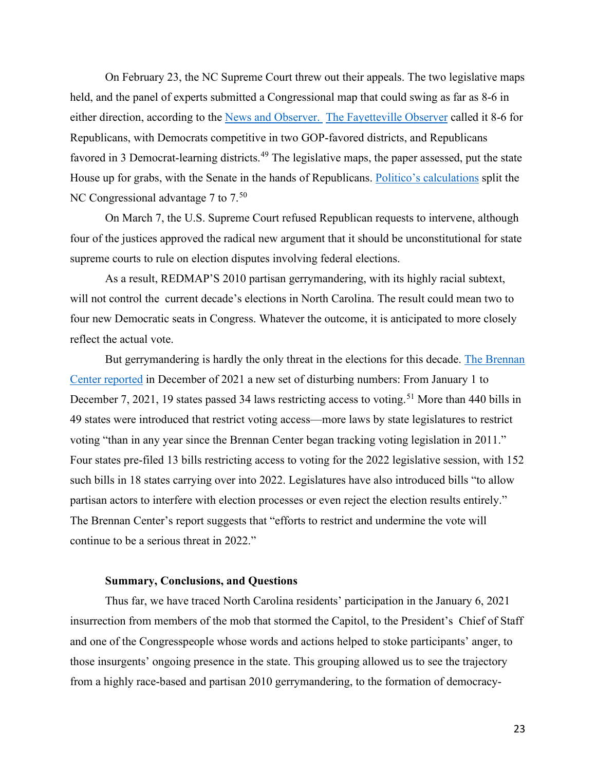On February 23, the NC Supreme Court threw out their appeals. The two legislative maps held, and the panel of experts submitted a Congressional map that could swing as far as 8-6 in either direction, according to the [News and Observer.](https://www.newsobserver.com/news/politics-government/article258665653.html) [The Fayetteville Observer](https://www.fayobserver.com/story/news/2022/02/21/nc-elections-2022-redistricting-maps-fair-vote-gerrymandering-congress-ncga/6804181001/) called it 8-6 for Republicans, with Democrats competitive in two GOP-favored districts, and Republicans favored in 3 Democrat-learning districts.<sup>[49](#page-33-3)</sup> The legislative maps, the paper assessed, put the state House up for grabs, with the Senate in the hands of Republicans. [Politico's calculations](https://www.politico.com/interactives/2022/congressional-redistricting-maps-by-state-and-district/north-carolina/) split the NC Congressional advantage  $7$  to  $7<sup>50</sup>$  $7<sup>50</sup>$  $7<sup>50</sup>$ 

 On March 7, the U.S. Supreme Court refused Republican requests to intervene, although four of the justices approved the radical new argument that it should be unconstitutional for state supreme courts to rule on election disputes involving federal elections.

As a result, REDMAP'S 2010 partisan gerrymandering, with its highly racial subtext, will not control the current decade's elections in North Carolina. The result could mean two to four new Democratic seats in Congress. Whatever the outcome, it is anticipated to more closely reflect the actual vote.

But gerrymandering is hardly the only threat in the elections for this decade. [The Brennan](https://www.brennancenter.org/our-work/research-reports/voting-laws-roundup-december-2021)  [Center reported](https://www.brennancenter.org/our-work/research-reports/voting-laws-roundup-december-2021) in December of 2021 a new set of disturbing numbers: From January 1 to December 7, 2021, 19 states passed 34 laws restricting access to voting.<sup>[51](#page-33-5)</sup> More than 440 bills in 49 states were introduced that restrict voting access—more laws by state legislatures to restrict voting "than in any year since the Brennan Center began tracking voting legislation in 2011." Four states pre-filed 13 bills restricting access to voting for the 2022 legislative session, with 152 such bills in 18 states carrying over into 2022. Legislatures have also introduced bills "to allow partisan actors to interfere with election processes or even reject the election results entirely." The Brennan Center's report suggests that "efforts to restrict and undermine the vote will continue to be a serious threat in 2022."

### **Summary, Conclusions, and Questions**

 Thus far, we have traced North Carolina residents' participation in the January 6, 2021 insurrection from members of the mob that stormed the Capitol, to the President's Chief of Staff and one of the Congresspeople whose words and actions helped to stoke participants' anger, to those insurgents' ongoing presence in the state. This grouping allowed us to see the trajectory from a highly race-based and partisan 2010 gerrymandering, to the formation of democracy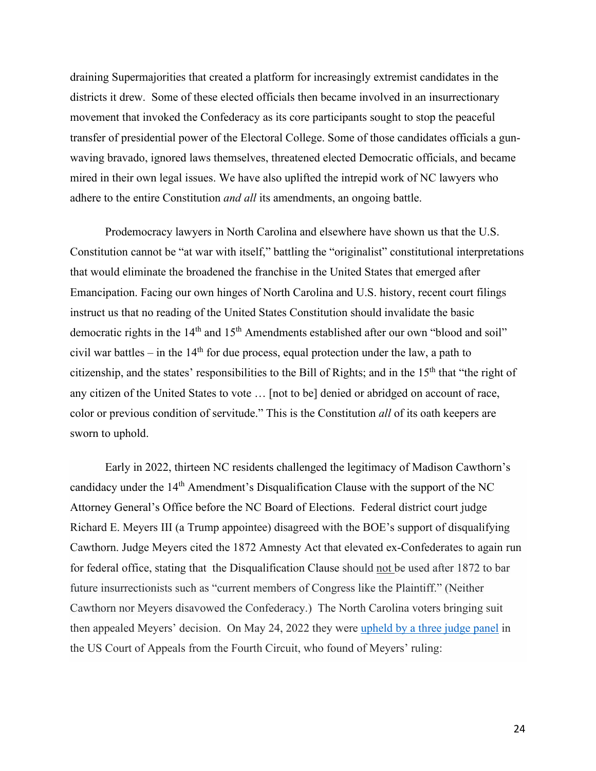draining Supermajorities that created a platform for increasingly extremist candidates in the districts it drew. Some of these elected officials then became involved in an insurrectionary movement that invoked the Confederacy as its core participants sought to stop the peaceful transfer of presidential power of the Electoral College. Some of those candidates officials a gunwaving bravado, ignored laws themselves, threatened elected Democratic officials, and became mired in their own legal issues. We have also uplifted the intrepid work of NC lawyers who adhere to the entire Constitution *and all* its amendments, an ongoing battle.

Prodemocracy lawyers in North Carolina and elsewhere have shown us that the U.S. Constitution cannot be "at war with itself," battling the "originalist" constitutional interpretations that would eliminate the broadened the franchise in the United States that emerged after Emancipation. Facing our own hinges of North Carolina and U.S. history, recent court filings instruct us that no reading of the United States Constitution should invalidate the basic democratic rights in the 14<sup>th</sup> and 15<sup>th</sup> Amendments established after our own "blood and soil" civil war battles – in the  $14<sup>th</sup>$  for due process, equal protection under the law, a path to citizenship, and the states' responsibilities to the Bill of Rights; and in the 15th that "the right of any citizen of the United States to vote … [not to be] denied or abridged on account of race, color or previous condition of servitude." This is the Constitution *all* of its oath keepers are sworn to uphold.

 Early in 2022, thirteen NC residents challenged the legitimacy of Madison Cawthorn's candidacy under the  $14<sup>th</sup>$  Amendment's Disqualification Clause with the support of the NC Attorney General's Office before the NC Board of Elections. Federal district court judge Richard E. Meyers III (a Trump appointee) disagreed with the BOE's support of disqualifying Cawthorn. Judge Meyers cited the 1872 Amnesty Act that elevated ex-Confederates to again run for federal office, stating that the Disqualification Clause should not be used after 1872 to bar future insurrectionists such as "current members of Congress like the Plaintiff." (Neither Cawthorn nor Meyers disavowed the Confederacy.) The North Carolina voters bringing suit then appealed Meyers' decision. On May 24, 2022 they were [upheld by a three judge panel](https://lawandcrime.com/politics/federal-appeals-court-says-post-civil-war-amnesty-act-doesnt-protect-madison-cawthorn-from-14th-amendment-insurrection-challenge/) in the US Court of Appeals from the Fourth Circuit, who found of Meyers' ruling: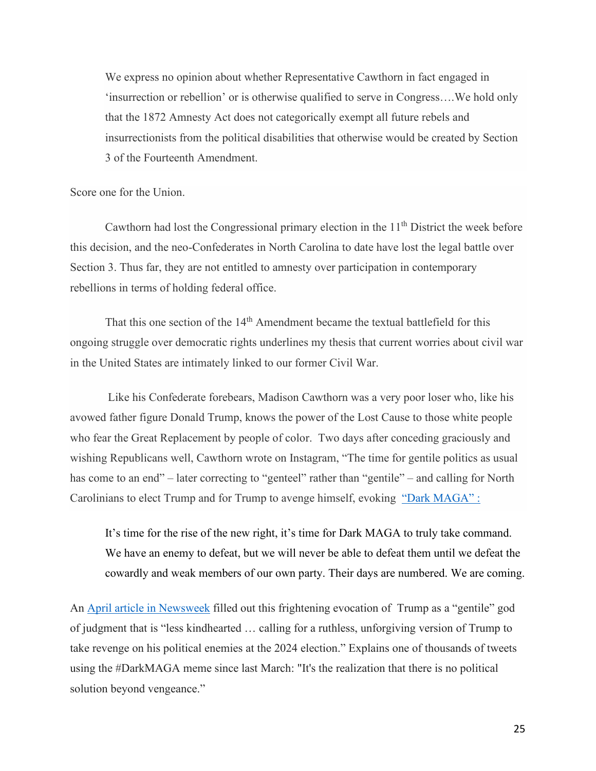We express no opinion about whether Representative Cawthorn in fact engaged in 'insurrection or rebellion' or is otherwise qualified to serve in Congress….We hold only that the 1872 Amnesty Act does not categorically exempt all future rebels and insurrectionists from the political disabilities that otherwise would be created by Section 3 of the Fourteenth Amendment.

Score one for the Union.

Cawthorn had lost the Congressional primary election in the  $11<sup>th</sup>$  District the week before this decision, and the neo-Confederates in North Carolina to date have lost the legal battle over Section 3. Thus far, they are not entitled to amnesty over participation in contemporary rebellions in terms of holding federal office.

That this one section of the 14<sup>th</sup> Amendment became the textual battlefield for this ongoing struggle over democratic rights underlines my thesis that current worries about civil war in the United States are intimately linked to our former Civil War.

 Like his Confederate forebears, Madison Cawthorn was a very poor loser who, like his avowed father figure Donald Trump, knows the power of the Lost Cause to those white people who fear the Great Replacement by people of color. Two days after conceding graciously and wishing Republicans well, Cawthorn wrote on Instagram, "The time for gentile politics as usual has come to an end" – later correcting to "genteel" rather than "gentile" – and calling for North Carolinians to elect Trump and for Trump to avenge himself, evoking "Dark MAGA" :

It's time for the rise of the new right, it's time for Dark MAGA to truly take command. We have an enemy to defeat, but we will never be able to defeat them until we defeat the cowardly and weak members of our own party. Their days are numbered. We are coming.

An [April article in Newsweek](https://www.newsweek.com/dark-maga-donald-trump-supporters-attempt-rebrand-2024-1697855?utm_medium=Social&utm_source=Twitter#Echobox=1650368088) filled out this frightening evocation of Trump as a "gentile" god of judgment that is "less kindhearted … calling for a ruthless, unforgiving version of Trump to take revenge on his political enemies at the 2024 election." Explains one of thousands of tweets using the #DarkMAGA meme since last March: "It's the realization that there is no political solution beyond vengeance."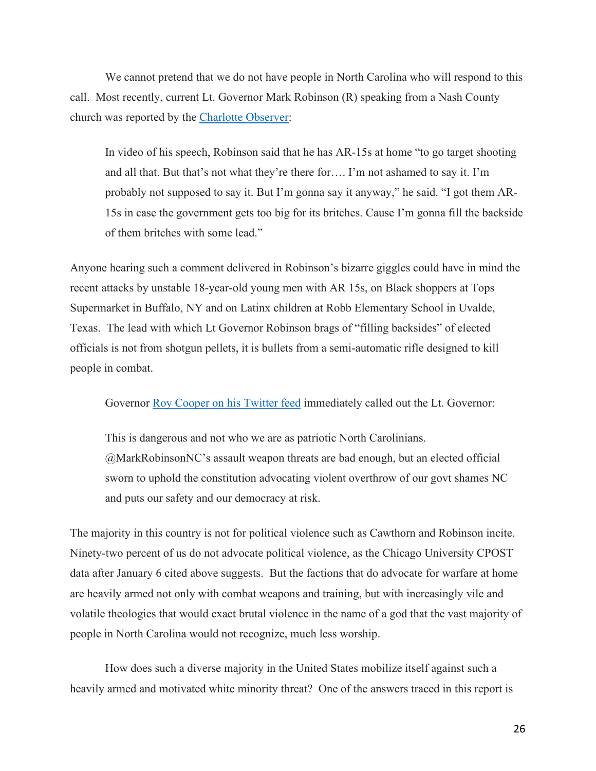We cannot pretend that we do not have people in North Carolina who will respond to this call. Most recently, current Lt. Governor Mark Robinson (R) speaking from a Nash County church was reported by the [Charlotte Observer:](https://www.newsobserver.com/news/politics-government/state-politics/article261971475.html?ac_cid=DM653115&ac_bid=34624045)

In video of his speech, Robinson said that he has AR-15s at home "to go target shooting and all that. But that's not what they're there for…. I'm not ashamed to say it. I'm probably not supposed to say it. But I'm gonna say it anyway," he said. "I got them AR-15s in case the government gets too big for its britches. Cause I'm gonna fill the backside of them britches with some lead."

Anyone hearing such a comment delivered in Robinson's bizarre giggles could have in mind the recent attacks by unstable 18-year-old young men with AR 15s, on Black shoppers at Tops Supermarket in Buffalo, NY and on Latinx children at Robb Elementary School in Uvalde, Texas. The lead with which Lt Governor Robinson brags of "filling backsides" of elected officials is not from shotgun pellets, it is bullets from a semi-automatic rifle designed to kill people in combat.

Governor [Roy Cooper on his Twitter feed](https://twitter.com/NC_Governor/status/1531627755581890561?s=20&t=d4SXDq7BwGi_zHMqwAg4dA) immediately called out the Lt. Governor:

This is dangerous and not who we are as patriotic North Carolinians. @MarkRobinsonNC's assault weapon threats are bad enough, but an elected official sworn to uphold the constitution advocating violent overthrow of our govt shames NC and puts our safety and our democracy at risk.

The majority in this country is not for political violence such as Cawthorn and Robinson incite. Ninety-two percent of us do not advocate political violence, as the Chicago University CPOST data after January 6 cited above suggests. But the factions that do advocate for warfare at home are heavily armed not only with combat weapons and training, but with increasingly vile and volatile theologies that would exact brutal violence in the name of a god that the vast majority of people in North Carolina would not recognize, much less worship.

How does such a diverse majority in the United States mobilize itself against such a heavily armed and motivated white minority threat? One of the answers traced in this report is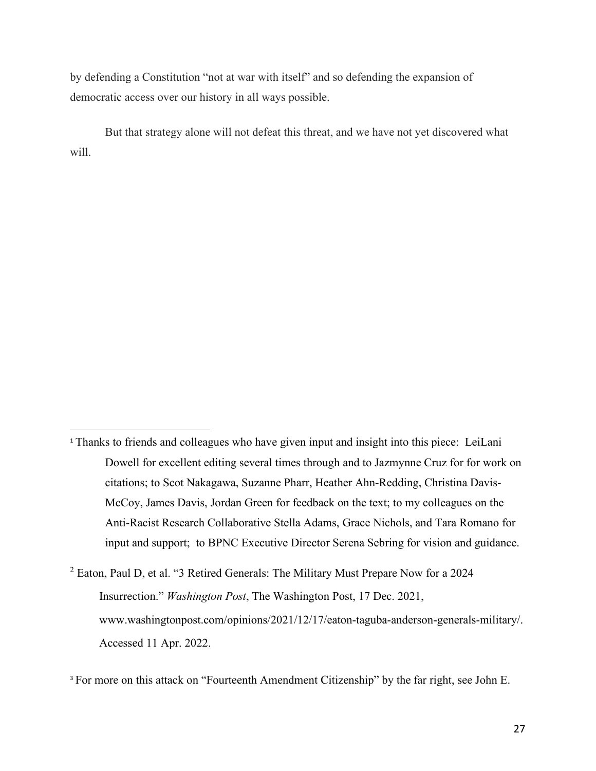by defending a Constitution "not at war with itself" and so defending the expansion of democratic access over our history in all ways possible.

 But that strategy alone will not defeat this threat, and we have not yet discovered what will.

<span id="page-26-0"></span><sup>&</sup>lt;sup>1</sup> Thanks to friends and colleagues who have given input and insight into this piece: LeiLani Dowell for excellent editing several times through and to Jazmynne Cruz for for work on citations; to Scot Nakagawa, Suzanne Pharr, Heather Ahn-Redding, Christina Davis-McCoy, James Davis, Jordan Green for feedback on the text; to my colleagues on the Anti-Racist Research Collaborative Stella Adams, Grace Nichols, and Tara Romano for input and support; to BPNC Executive Director Serena Sebring for vision and guidance.

<span id="page-26-1"></span> $2$  Eaton, Paul D, et al. "3 Retired Generals: The Military Must Prepare Now for a 2024 Insurrection." *Washington Post*, The Washington Post, 17 Dec. 2021, www.washingtonpost.com/opinions/2021/12/17/eaton-taguba-anderson-generals-military/. Accessed 11 Apr. 2022.

<span id="page-26-2"></span><sup>&</sup>lt;sup>3</sup> For more on this attack on "Fourteenth Amendment Citizenship" by the far right, see John E.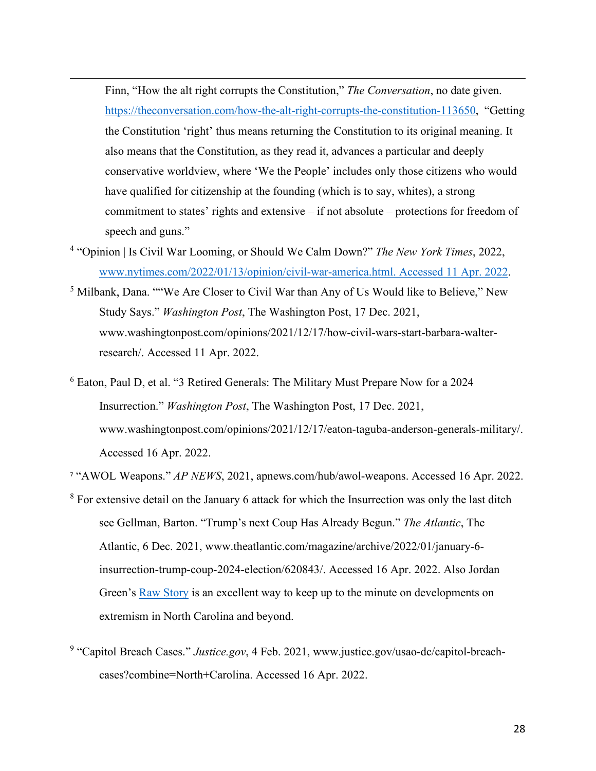Finn, "How the alt right corrupts the Constitution," *The Conversation*, no date given. [https://theconversation.com/how-the-alt-right-corrupts-the-constitution-113650,](https://theconversation.com/how-the-alt-right-corrupts-the-constitution-113650) "Getting the Constitution 'right' thus means returning the Constitution to its original meaning. It also means that the Constitution, as they read it, advances a particular and deeply conservative worldview, where 'We the People' includes only those citizens who would have qualified for citizenship at the founding (which is to say, whites), a strong commitment to states' rights and extensive – if not absolute – protections for freedom of speech and guns."

- <span id="page-27-0"></span>4 "Opinion | Is Civil War Looming, or Should We Calm Down?" *The New York Times*, 2022, [www.nytimes.com/2022/01/13/opinion/civil-war-america.html. Accessed 11 Apr. 2022.](http://www.nytimes.com/2022/01/13/opinion/civil-war-america.html.%20Accessed%2011%20Apr.%202022)
- <span id="page-27-1"></span><sup>5</sup> Milbank, Dana. ""We Are Closer to Civil War than Any of Us Would like to Believe," New Study Says." *Washington Post*, The Washington Post, 17 Dec. 2021, www.washingtonpost.com/opinions/2021/12/17/how-civil-wars-start-barbara-walterresearch/. Accessed 11 Apr. 2022.
- <span id="page-27-2"></span><sup>6</sup> Eaton, Paul D, et al. "3 Retired Generals: The Military Must Prepare Now for a 2024 Insurrection." *Washington Post*, The Washington Post, 17 Dec. 2021, www.washingtonpost.com/opinions/2021/12/17/eaton-taguba-anderson-generals-military/. Accessed 16 Apr. 2022.
- <span id="page-27-3"></span><sup>7</sup> "AWOL Weapons." *AP NEWS*, 2021, apnews.com/hub/awol-weapons. Accessed 16 Apr. 2022.
- <span id="page-27-4"></span> $8$  For extensive detail on the January 6 attack for which the Insurrection was only the last ditch see Gellman, Barton. "Trump's next Coup Has Already Begun." *The Atlantic*, The Atlantic, 6 Dec. 2021, www.theatlantic.com/magazine/archive/2022/01/january-6 insurrection-trump-coup-2024-election/620843/. Accessed 16 Apr. 2022. Also Jordan Green's [Raw Story](https://www.rawstory.com/u/jordan_green_special_to_raw_story) is an excellent way to keep up to the minute on developments on extremism in North Carolina and beyond.
- <span id="page-27-5"></span><sup>9</sup> "Capitol Breach Cases." *Justice.gov*, 4 Feb. 2021, www.justice.gov/usao-dc/capitol-breachcases?combine=North+Carolina. Accessed 16 Apr. 2022.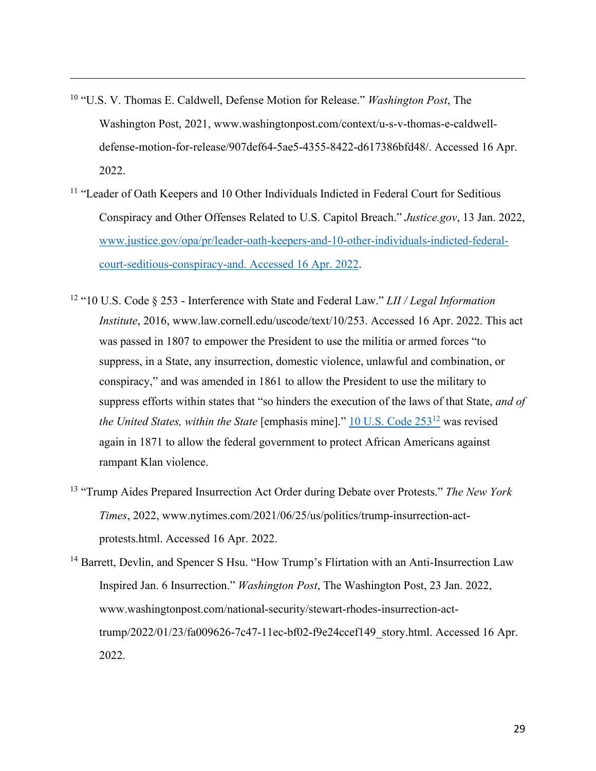- <span id="page-28-0"></span>10 "U.S. V. Thomas E. Caldwell, Defense Motion for Release." *Washington Post*, The Washington Post, 2021, www.washingtonpost.com/context/u-s-v-thomas-e-caldwelldefense-motion-for-release/907def64-5ae5-4355-8422-d617386bfd48/. Accessed 16 Apr. 2022.
- <span id="page-28-1"></span><sup>11</sup> "Leader of Oath Keepers and 10 Other Individuals Indicted in Federal Court for Seditious Conspiracy and Other Offenses Related to U.S. Capitol Breach." *Justice.gov*, 13 Jan. 2022, [www.justice.gov/opa/pr/leader-oath-keepers-and-10-other-individuals-indicted-federal](http://www.justice.gov/opa/pr/leader-oath-keepers-and-10-other-individuals-indicted-federal-court-seditious-conspiracy-and.%20Accessed%2016%20Apr.%202022)[court-seditious-conspiracy-and. Accessed 16 Apr. 2022.](http://www.justice.gov/opa/pr/leader-oath-keepers-and-10-other-individuals-indicted-federal-court-seditious-conspiracy-and.%20Accessed%2016%20Apr.%202022)
- <span id="page-28-2"></span>12 "10 U.S. Code § 253 - Interference with State and Federal Law." *LII / Legal Information Institute*, 2016, www.law.cornell.edu/uscode/text/10/253. Accessed 16 Apr. 2022. This act was passed in 1807 to empower the President to use the militia or armed forces "to suppress, in a State, any insurrection, domestic violence, unlawful and combination, or conspiracy," and was amended in 1861 to allow the President to use the military to suppress efforts within states that "so hinders the execution of the laws of that State, *and of the United States, within the State* [emphasis mine]." [10 U.S. Code 253](https://www.law.cornell.edu/uscode/text/10/253)<sup>12</sup> was revised again in 1871 to allow the federal government to protect African Americans against rampant Klan violence.
- <span id="page-28-3"></span>13 "Trump Aides Prepared Insurrection Act Order during Debate over Protests." *The New York Times*, 2022, www.nytimes.com/2021/06/25/us/politics/trump-insurrection-actprotests.html. Accessed 16 Apr. 2022.
- <span id="page-28-4"></span><sup>14</sup> Barrett, Devlin, and Spencer S Hsu. "How Trump's Flirtation with an Anti-Insurrection Law Inspired Jan. 6 Insurrection." *Washington Post*, The Washington Post, 23 Jan. 2022, www.washingtonpost.com/national-security/stewart-rhodes-insurrection-acttrump/2022/01/23/fa009626-7c47-11ec-bf02-f9e24ccef149\_story.html. Accessed 16 Apr. 2022.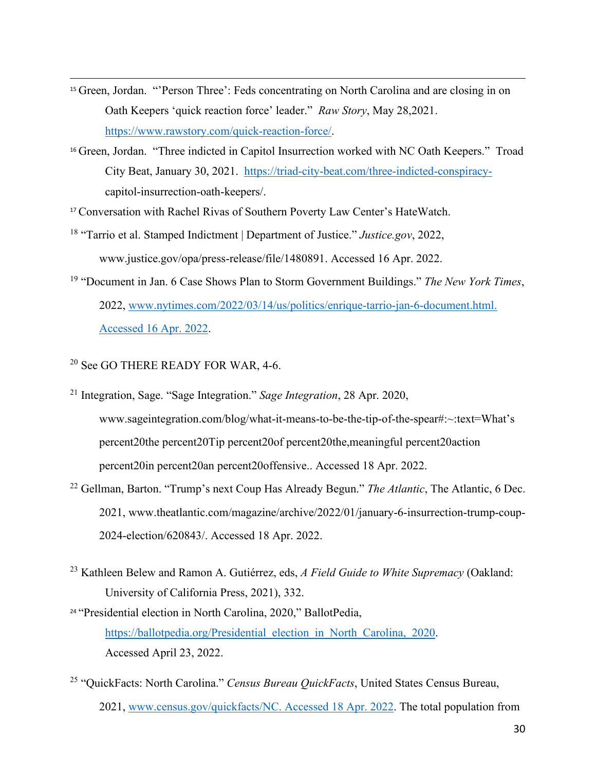- <span id="page-29-0"></span><sup>15</sup> Green, Jordan. "'Person Three': Feds concentrating on North Carolina and are closing in on Oath Keepers 'quick reaction force' leader." *Raw Story*, May 28,2021. [https://www.rawstory.com/quick-reaction-force/.](https://www.rawstory.com/quick-reaction-force/)
- <span id="page-29-1"></span><sup>16</sup> Green, Jordan. "Three indicted in Capitol Insurrection worked with NC Oath Keepers." Troad City Beat, January 30, 2021. [https://triad-city-beat.com/three-indicted-conspiracy](https://triad-city-beat.com/three-indicted-conspiracy-)capitol-insurrection-oath-keepers/.

<span id="page-29-2"></span><sup>17</sup> Conversation with Rachel Rivas of Southern Poverty Law Center's HateWatch.

- <span id="page-29-3"></span><sup>18</sup> "Tarrio et al. Stamped Indictment | Department of Justice." *Justice.gov*, 2022, www.justice.gov/opa/press-release/file/1480891. Accessed 16 Apr. 2022.
- <span id="page-29-4"></span>19 "Document in Jan. 6 Case Shows Plan to Storm Government Buildings." *The New York Times*, 2022, [www.nytimes.com/2022/03/14/us/politics/enrique-tarrio-jan-6-document.html.](http://www.nytimes.com/2022/03/14/us/politics/enrique-tarrio-jan-6-document.html.%20Accessed%2016%20Apr.%202022)  [Accessed 16 Apr. 2022.](http://www.nytimes.com/2022/03/14/us/politics/enrique-tarrio-jan-6-document.html.%20Accessed%2016%20Apr.%202022)

# <span id="page-29-5"></span><sup>20</sup> See GO THERE READY FOR WAR, 4-6.

- <span id="page-29-6"></span><sup>21</sup> Integration, Sage. "Sage Integration." *Sage Integration*, 28 Apr. 2020, www.sageintegration.com/blog/what-it-means-to-be-the-tip-of-the-spear#:~:text=What's percent20the percent20Tip percent20of percent20the,meaningful percent20action percent20in percent20an percent20offensive.. Accessed 18 Apr. 2022.
- <span id="page-29-7"></span>22 Gellman, Barton. "Trump's next Coup Has Already Begun." *The Atlantic*, The Atlantic, 6 Dec. 2021, www.theatlantic.com/magazine/archive/2022/01/january-6-insurrection-trump-coup-2024-election/620843/. Accessed 18 Apr. 2022.
- <span id="page-29-8"></span>23 Kathleen Belew and Ramon A. Gutiérrez, eds, *A Field Guide to White Supremacy* (Oakland: University of California Press, 2021), 332.
- <span id="page-29-9"></span><sup>24</sup> "Presidential election in North Carolina, 2020," BallotPedia, https://ballotpedia.org/Presidential election in North Carolina, 2020. Accessed April 23, 2022.
- <span id="page-29-10"></span>25 "QuickFacts: North Carolina." *Census Bureau QuickFacts*, United States Census Bureau, 2021, [www.census.gov/quickfacts/NC. Accessed 18 Apr. 2022.](http://www.census.gov/quickfacts/NC.%20Accessed%2018%20Apr.%202022) The total population from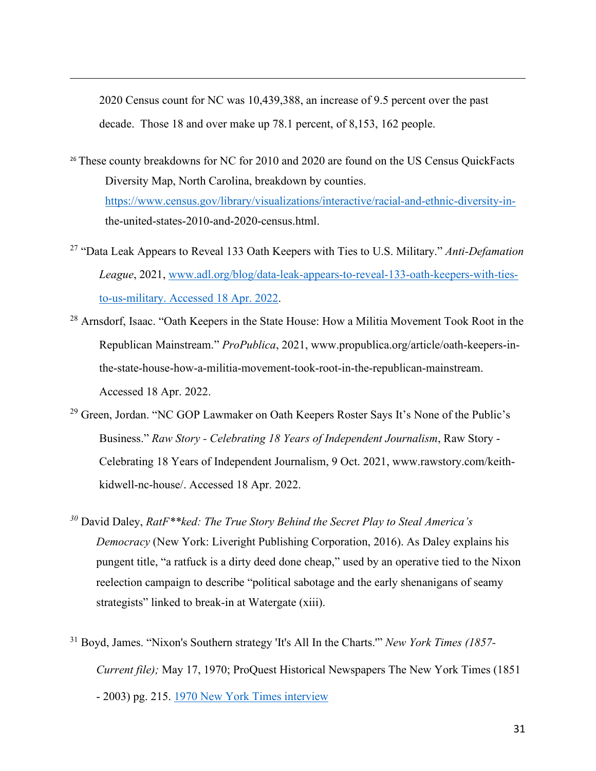2020 Census count for NC was 10,439,388, an increase of 9.5 percent over the past decade. Those 18 and over make up 78.1 percent, of 8,153, 162 people.

- <span id="page-30-0"></span><sup>26</sup> These county breakdowns for NC for 2010 and 2020 are found on the US Census QuickFacts Diversity Map, North Carolina, breakdown by counties. [https://www.census.gov/library/visualizations/interactive/racial-and-ethnic-diversity-in](https://www.census.gov/library/visualizations/interactive/racial-and-ethnic-diversity-in-) the-united-states-2010-and-2020-census.html.
- <span id="page-30-1"></span>27 "Data Leak Appears to Reveal 133 Oath Keepers with Ties to U.S. Military." *Anti-Defamation League*, 2021, [www.adl.org/blog/data-leak-appears-to-reveal-133-oath-keepers-with-ties](http://www.adl.org/blog/data-leak-appears-to-reveal-133-oath-keepers-with-ties-to-us-military.%20Accessed%2018%20Apr.%202022)[to-us-military. Accessed 18 Apr. 2022.](http://www.adl.org/blog/data-leak-appears-to-reveal-133-oath-keepers-with-ties-to-us-military.%20Accessed%2018%20Apr.%202022)
- <span id="page-30-2"></span><sup>28</sup> Arnsdorf. Isaac. "Oath Keepers in the State House: How a Militia Movement Took Root in the Republican Mainstream." *ProPublica*, 2021, www.propublica.org/article/oath-keepers-inthe-state-house-how-a-militia-movement-took-root-in-the-republican-mainstream. Accessed 18 Apr. 2022.
- <span id="page-30-3"></span><sup>29</sup> Green, Jordan. "NC GOP Lawmaker on Oath Keepers Roster Says It's None of the Public's Business." *Raw Story - Celebrating 18 Years of Independent Journalism*, Raw Story - Celebrating 18 Years of Independent Journalism, 9 Oct. 2021, www.rawstory.com/keithkidwell-nc-house/. Accessed 18 Apr. 2022.
- <span id="page-30-4"></span>*<sup>30</sup>* David Daley, *RatF\*\*ked: The True Story Behind the Secret Play to Steal America's Democracy* (New York: Liveright Publishing Corporation, 2016). As Daley explains his pungent title, "a ratfuck is a dirty deed done cheap," used by an operative tied to the Nixon reelection campaign to describe "political sabotage and the early shenanigans of seamy strategists" linked to break-in at Watergate (xiii).
- <span id="page-30-5"></span>31 Boyd, James. "Nixon's Southern strategy 'It's All In the Charts.'" *New York Times (1857- Current file);* May 17, 1970; ProQuest Historical Newspapers The New York Times (1851 - 2003) pg. 215. [1970 New York Times](https://www.nytimes.com/packages/html/books/phillips-southern.pdf) interview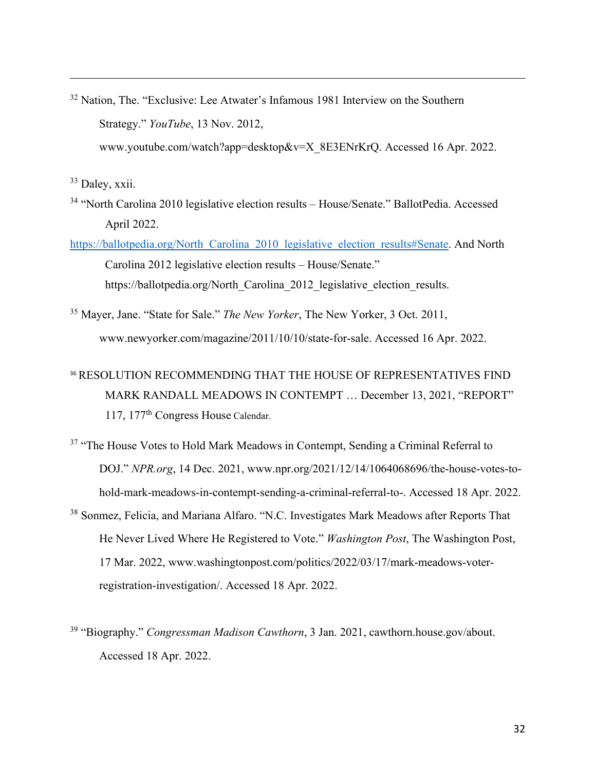<span id="page-31-0"></span><sup>32</sup> Nation, The. "Exclusive: Lee Atwater's Infamous 1981 Interview on the Southern Strategy." *YouTube*, 13 Nov. 2012,

www.youtube.com/watch?app=desktop&v=X\_8E3ENrKrQ. Accessed 16 Apr. 2022.

<span id="page-31-1"></span>33 Daley, xxii.

- <span id="page-31-2"></span><sup>34</sup> "North Carolina 2010 legislative election results – House/Senate." BallotPedia. Accessed April 2022.
- https://ballotpedia.org/North\_Carolina\_2010\_legislative\_election\_results#Senate. And North Carolina 2012 legislative election results – House/Senate." https://ballotpedia.org/North\_Carolina\_2012\_legislative\_election\_results.
- <span id="page-31-3"></span><sup>35</sup> Mayer, Jane. "State for Sale." *The New Yorker*, The New Yorker, 3 Oct. 2011, www.newyorker.com/magazine/2011/10/10/state-for-sale. Accessed 16 Apr. 2022.
- <span id="page-31-4"></span><sup>36</sup> RESOLUTION RECOMMENDING THAT THE HOUSE OF REPRESENTATIVES FIND MARK RANDALL MEADOWS IN CONTEMPT … December 13, 2021, "REPORT" 117, 177th Congress House Calendar.
- <span id="page-31-5"></span><sup>37</sup> "The House Votes to Hold Mark Meadows in Contempt, Sending a Criminal Referral to DOJ." *NPR.org*, 14 Dec. 2021, www.npr.org/2021/12/14/1064068696/the-house-votes-tohold-mark-meadows-in-contempt-sending-a-criminal-referral-to-. Accessed 18 Apr. 2022.
- <span id="page-31-6"></span><sup>38</sup> Sonmez, Felicia, and Mariana Alfaro. "N.C. Investigates Mark Meadows after Reports That He Never Lived Where He Registered to Vote." *Washington Post*, The Washington Post, 17 Mar. 2022, www.washingtonpost.com/politics/2022/03/17/mark-meadows-voterregistration-investigation/. Accessed 18 Apr. 2022.
- <span id="page-31-7"></span>39 "Biography." *Congressman Madison Cawthorn*, 3 Jan. 2021, cawthorn.house.gov/about. Accessed 18 Apr. 2022.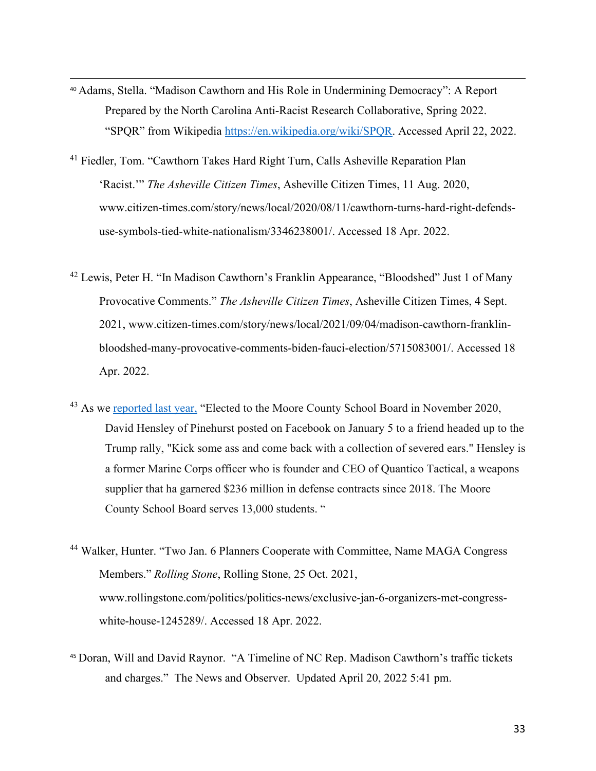- <span id="page-32-0"></span><sup>40</sup> Adams, Stella. "Madison Cawthorn and His Role in Undermining Democracy": A Report Prepared by the North Carolina Anti-Racist Research Collaborative, Spring 2022. "SPQR" from Wikipedia https://en.wikipedia.org/wiki/SPQR. Accessed April 22, 2022.
- <span id="page-32-1"></span><sup>41</sup> Fiedler, Tom. "Cawthorn Takes Hard Right Turn, Calls Asheville Reparation Plan 'Racist.'" *The Asheville Citizen Times*, Asheville Citizen Times, 11 Aug. 2020, www.citizen-times.com/story/news/local/2020/08/11/cawthorn-turns-hard-right-defendsuse-symbols-tied-white-nationalism/3346238001/. Accessed 18 Apr. 2022.
- <span id="page-32-2"></span> $42$  Lewis, Peter H. "In Madison Cawthorn's Franklin Appearance, "Bloodshed" Just 1 of Many Provocative Comments." *The Asheville Citizen Times*, Asheville Citizen Times, 4 Sept. 2021, www.citizen-times.com/story/news/local/2021/09/04/madison-cawthorn-franklinbloodshed-many-provocative-comments-biden-fauci-election/5715083001/. Accessed 18 Apr. 2022.
- <span id="page-32-3"></span><sup>43</sup> As we reported last year, "Elected to the Moore County School Board in November 2020, David Hensley of Pinehurst posted on Facebook on January 5 to a friend headed up to the Trump rally, "Kick some ass and come back with a collection of severed ears." Hensley is a former Marine Corps officer who is founder and CEO of Quantico Tactical, a weapons supplier that ha garnered \$236 million in defense contracts since 2018. The Moore County School Board serves 13,000 students. "
- <span id="page-32-4"></span><sup>44</sup> Walker, Hunter. "Two Jan. 6 Planners Cooperate with Committee, Name MAGA Congress Members." *Rolling Stone*, Rolling Stone, 25 Oct. 2021, www.rollingstone.com/politics/politics-news/exclusive-jan-6-organizers-met-congresswhite-house-1245289/. Accessed 18 Apr. 2022.
- <span id="page-32-5"></span><sup>45</sup> Doran, Will and David Raynor. "A Timeline of NC Rep. Madison Cawthorn's traffic tickets and charges." The News and Observer. Updated April 20, 2022 5:41 pm.